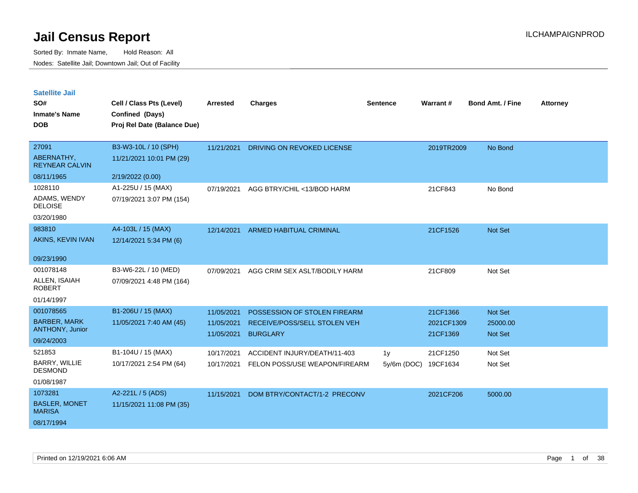| <b>Satellite Jail</b> |  |
|-----------------------|--|
|-----------------------|--|

| SO#<br><b>Inmate's Name</b>           | Cell / Class Pts (Level)<br>Confined (Days) | Arrested   | <b>Charges</b>                    | <b>Sentence</b> | Warrant#   | <b>Bond Amt. / Fine</b> | <b>Attorney</b> |
|---------------------------------------|---------------------------------------------|------------|-----------------------------------|-----------------|------------|-------------------------|-----------------|
| <b>DOB</b>                            | Proj Rel Date (Balance Due)                 |            |                                   |                 |            |                         |                 |
| 27091                                 | B3-W3-10L / 10 (SPH)                        | 11/21/2021 | <b>DRIVING ON REVOKED LICENSE</b> |                 | 2019TR2009 | No Bond                 |                 |
| ABERNATHY,<br><b>REYNEAR CALVIN</b>   | 11/21/2021 10:01 PM (29)                    |            |                                   |                 |            |                         |                 |
| 08/11/1965                            | 2/19/2022 (0.00)                            |            |                                   |                 |            |                         |                 |
| 1028110                               | A1-225U / 15 (MAX)                          | 07/19/2021 | AGG BTRY/CHIL <13/BOD HARM        |                 | 21CF843    | No Bond                 |                 |
| ADAMS, WENDY<br><b>DELOISE</b>        | 07/19/2021 3:07 PM (154)                    |            |                                   |                 |            |                         |                 |
| 03/20/1980                            |                                             |            |                                   |                 |            |                         |                 |
| 983810                                | A4-103L / 15 (MAX)                          | 12/14/2021 | <b>ARMED HABITUAL CRIMINAL</b>    |                 | 21CF1526   | Not Set                 |                 |
| AKINS, KEVIN IVAN                     | 12/14/2021 5:34 PM (6)                      |            |                                   |                 |            |                         |                 |
| 09/23/1990                            |                                             |            |                                   |                 |            |                         |                 |
| 001078148                             | B3-W6-22L / 10 (MED)                        | 07/09/2021 | AGG CRIM SEX ASLT/BODILY HARM     |                 | 21CF809    | Not Set                 |                 |
| ALLEN, ISAIAH<br><b>ROBERT</b>        | 07/09/2021 4:48 PM (164)                    |            |                                   |                 |            |                         |                 |
| 01/14/1997                            |                                             |            |                                   |                 |            |                         |                 |
| 001078565                             | B1-206U / 15 (MAX)                          | 11/05/2021 | POSSESSION OF STOLEN FIREARM      |                 | 21CF1366   | Not Set                 |                 |
| <b>BARBER, MARK</b>                   | 11/05/2021 7:40 AM (45)                     | 11/05/2021 | RECEIVE/POSS/SELL STOLEN VEH      |                 | 2021CF1309 | 25000.00                |                 |
| ANTHONY, Junior                       |                                             | 11/05/2021 | <b>BURGLARY</b>                   |                 | 21CF1369   | <b>Not Set</b>          |                 |
| 09/24/2003                            |                                             |            |                                   |                 |            |                         |                 |
| 521853                                | B1-104U / 15 (MAX)                          | 10/17/2021 | ACCIDENT INJURY/DEATH/11-403      | 1 <sub>V</sub>  | 21CF1250   | Not Set                 |                 |
| BARRY, WILLIE<br><b>DESMOND</b>       | 10/17/2021 2:54 PM (64)                     | 10/17/2021 | FELON POSS/USE WEAPON/FIREARM     | $5v/6m$ (DOC)   | 19CF1634   | Not Set                 |                 |
| 01/08/1987                            |                                             |            |                                   |                 |            |                         |                 |
| 1073281                               | A2-221L / 5 (ADS)                           | 11/15/2021 | DOM BTRY/CONTACT/1-2 PRECONV      |                 | 2021CF206  | 5000.00                 |                 |
| <b>BASLER, MONET</b><br><b>MARISA</b> | 11/15/2021 11:08 PM (35)                    |            |                                   |                 |            |                         |                 |
| 08/17/1994                            |                                             |            |                                   |                 |            |                         |                 |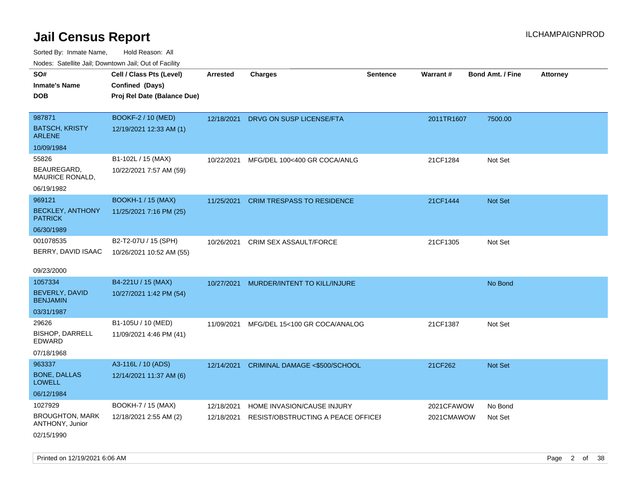| roaco. Calcinio dan, Downtown dan, Cal or Fability |                             |                 |                                    |                 |                 |                         |                 |
|----------------------------------------------------|-----------------------------|-----------------|------------------------------------|-----------------|-----------------|-------------------------|-----------------|
| SO#                                                | Cell / Class Pts (Level)    | <b>Arrested</b> | <b>Charges</b>                     | <b>Sentence</b> | <b>Warrant#</b> | <b>Bond Amt. / Fine</b> | <b>Attorney</b> |
| Inmate's Name                                      | Confined (Days)             |                 |                                    |                 |                 |                         |                 |
| DOB                                                | Proj Rel Date (Balance Due) |                 |                                    |                 |                 |                         |                 |
|                                                    |                             |                 |                                    |                 |                 |                         |                 |
| 987871                                             | BOOKF-2 / 10 (MED)          | 12/18/2021      | DRVG ON SUSP LICENSE/FTA           |                 | 2011TR1607      | 7500.00                 |                 |
| <b>BATSCH, KRISTY</b><br>ARLENE                    | 12/19/2021 12:33 AM (1)     |                 |                                    |                 |                 |                         |                 |
| 10/09/1984                                         |                             |                 |                                    |                 |                 |                         |                 |
| 55826                                              | B1-102L / 15 (MAX)          | 10/22/2021      | MFG/DEL 100<400 GR COCA/ANLG       |                 | 21CF1284        | Not Set                 |                 |
| BEAUREGARD.<br><b>MAURICE RONALD,</b>              | 10/22/2021 7:57 AM (59)     |                 |                                    |                 |                 |                         |                 |
| 06/19/1982                                         |                             |                 |                                    |                 |                 |                         |                 |
| 969121                                             | <b>BOOKH-1 / 15 (MAX)</b>   | 11/25/2021      | <b>CRIM TRESPASS TO RESIDENCE</b>  |                 | 21CF1444        | Not Set                 |                 |
| <b>BECKLEY, ANTHONY</b><br><b>PATRICK</b>          | 11/25/2021 7:16 PM (25)     |                 |                                    |                 |                 |                         |                 |
| 06/30/1989                                         |                             |                 |                                    |                 |                 |                         |                 |
| 001078535                                          | B2-T2-07U / 15 (SPH)        | 10/26/2021      | <b>CRIM SEX ASSAULT/FORCE</b>      |                 | 21CF1305        | Not Set                 |                 |
| BERRY, DAVID ISAAC                                 | 10/26/2021 10:52 AM (55)    |                 |                                    |                 |                 |                         |                 |
|                                                    |                             |                 |                                    |                 |                 |                         |                 |
| 09/23/2000                                         |                             |                 |                                    |                 |                 |                         |                 |
| 1057334                                            | B4-221U / 15 (MAX)          | 10/27/2021      | MURDER/INTENT TO KILL/INJURE       |                 |                 | No Bond                 |                 |
| <b>BEVERLY, DAVID</b><br>BENJAMIN                  | 10/27/2021 1:42 PM (54)     |                 |                                    |                 |                 |                         |                 |
| 03/31/1987                                         |                             |                 |                                    |                 |                 |                         |                 |
| 29626                                              | B1-105U / 10 (MED)          | 11/09/2021      | MFG/DEL 15<100 GR COCA/ANALOG      |                 | 21CF1387        | Not Set                 |                 |
| BISHOP, DARRELL<br>EDWARD                          | 11/09/2021 4:46 PM (41)     |                 |                                    |                 |                 |                         |                 |
| 07/18/1968                                         |                             |                 |                                    |                 |                 |                         |                 |
| 963337                                             | A3-116L / 10 (ADS)          | 12/14/2021      | CRIMINAL DAMAGE <\$500/SCHOOL      |                 | 21CF262         | <b>Not Set</b>          |                 |
| <b>BONE, DALLAS</b><br><b>LOWELL</b>               | 12/14/2021 11:37 AM (6)     |                 |                                    |                 |                 |                         |                 |
| 06/12/1984                                         |                             |                 |                                    |                 |                 |                         |                 |
| 1027929                                            | BOOKH-7 / 15 (MAX)          | 12/18/2021      | HOME INVASION/CAUSE INJURY         |                 | 2021CFAWOW      | No Bond                 |                 |
| <b>BROUGHTON, MARK</b><br>ANTHONY, Junior          | 12/18/2021 2:55 AM (2)      | 12/18/2021      | RESIST/OBSTRUCTING A PEACE OFFICEL |                 | 2021CMAWOW      | Not Set                 |                 |
| 02/15/1990                                         |                             |                 |                                    |                 |                 |                         |                 |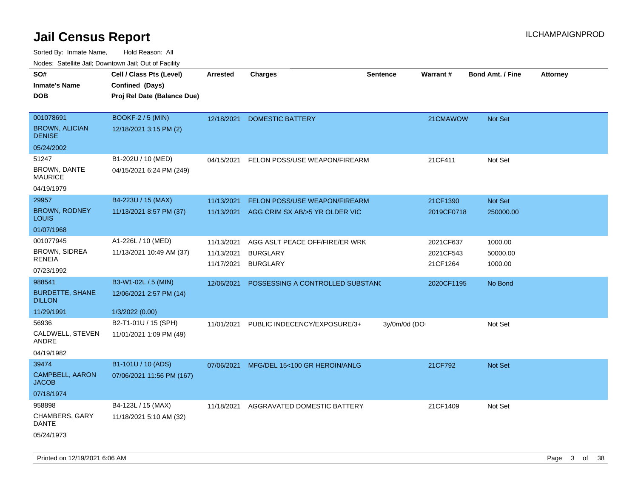Sorted By: Inmate Name, Hold Reason: All Nodes: Satellite Jail; Downtown Jail; Out of Facility

| ivodes. Satellite Jali, Downtown Jali, Out of Facility |                             |                 |                                          |                 |            |                         |                 |
|--------------------------------------------------------|-----------------------------|-----------------|------------------------------------------|-----------------|------------|-------------------------|-----------------|
| SO#                                                    | Cell / Class Pts (Level)    | <b>Arrested</b> | <b>Charges</b>                           | <b>Sentence</b> | Warrant#   | <b>Bond Amt. / Fine</b> | <b>Attorney</b> |
| Inmate's Name                                          | Confined (Days)             |                 |                                          |                 |            |                         |                 |
| <b>DOB</b>                                             | Proj Rel Date (Balance Due) |                 |                                          |                 |            |                         |                 |
|                                                        |                             |                 |                                          |                 |            |                         |                 |
| 001078691                                              | <b>BOOKF-2 / 5 (MIN)</b>    | 12/18/2021      | DOMESTIC BATTERY                         |                 | 21CMAWOW   | Not Set                 |                 |
| <b>BROWN, ALICIAN</b><br><b>DENISE</b>                 | 12/18/2021 3:15 PM (2)      |                 |                                          |                 |            |                         |                 |
| 05/24/2002                                             |                             |                 |                                          |                 |            |                         |                 |
| 51247                                                  | B1-202U / 10 (MED)          | 04/15/2021      | FELON POSS/USE WEAPON/FIREARM            |                 | 21CF411    | Not Set                 |                 |
| BROWN, DANTE<br>MAURICE                                | 04/15/2021 6:24 PM (249)    |                 |                                          |                 |            |                         |                 |
| 04/19/1979                                             |                             |                 |                                          |                 |            |                         |                 |
| 29957                                                  | B4-223U / 15 (MAX)          | 11/13/2021      | FELON POSS/USE WEAPON/FIREARM            |                 | 21CF1390   | <b>Not Set</b>          |                 |
| <b>BROWN, RODNEY</b><br>Louis                          | 11/13/2021 8:57 PM (37)     | 11/13/2021      | AGG CRIM SX AB/>5 YR OLDER VIC           |                 | 2019CF0718 | 250000.00               |                 |
| 01/07/1968                                             |                             |                 |                                          |                 |            |                         |                 |
| 001077945                                              | A1-226L / 10 (MED)          | 11/13/2021      | AGG ASLT PEACE OFF/FIRE/ER WRK           |                 | 2021CF637  | 1000.00                 |                 |
| BROWN, SIDREA                                          | 11/13/2021 10:49 AM (37)    | 11/13/2021      | <b>BURGLARY</b>                          |                 | 2021CF543  | 50000.00                |                 |
| RENEIA                                                 |                             | 11/17/2021      | <b>BURGLARY</b>                          |                 | 21CF1264   | 1000.00                 |                 |
| 07/23/1992                                             |                             |                 |                                          |                 |            |                         |                 |
| 988541                                                 | B3-W1-02L / 5 (MIN)         | 12/06/2021      | POSSESSING A CONTROLLED SUBSTAND         |                 | 2020CF1195 | No Bond                 |                 |
| <b>BURDETTE, SHANE</b><br><b>DILLON</b>                | 12/06/2021 2:57 PM (14)     |                 |                                          |                 |            |                         |                 |
| 11/29/1991                                             | 1/3/2022 (0.00)             |                 |                                          |                 |            |                         |                 |
| 56936                                                  | B2-T1-01U / 15 (SPH)        | 11/01/2021      | PUBLIC INDECENCY/EXPOSURE/3+             | 3y/0m/0d (DO    |            | Not Set                 |                 |
| CALDWELL, STEVEN<br>ANDRE                              | 11/01/2021 1:09 PM (49)     |                 |                                          |                 |            |                         |                 |
| 04/19/1982                                             |                             |                 |                                          |                 |            |                         |                 |
| 39474                                                  | B1-101U / 10 (ADS)          |                 | 07/06/2021 MFG/DEL 15<100 GR HEROIN/ANLG |                 | 21CF792    | <b>Not Set</b>          |                 |
| <b>CAMPBELL, AARON</b><br>JACOB                        | 07/06/2021 11:56 PM (167)   |                 |                                          |                 |            |                         |                 |
| 07/18/1974                                             |                             |                 |                                          |                 |            |                         |                 |
| 958898                                                 | B4-123L / 15 (MAX)          | 11/18/2021      | AGGRAVATED DOMESTIC BATTERY              |                 | 21CF1409   | Not Set                 |                 |
| CHAMBERS, GARY<br>DANTE                                | 11/18/2021 5:10 AM (32)     |                 |                                          |                 |            |                         |                 |
| 05/24/1973                                             |                             |                 |                                          |                 |            |                         |                 |

Printed on 12/19/2021 6:06 AM **Page 3 of 38**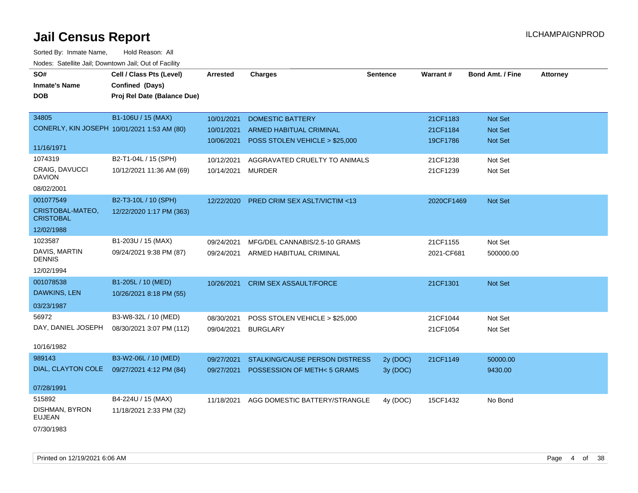| SO#                                    | Cell / Class Pts (Level)                    | <b>Arrested</b> | <b>Charges</b>                          | <b>Sentence</b> | Warrant#   | <b>Bond Amt. / Fine</b> | <b>Attorney</b> |
|----------------------------------------|---------------------------------------------|-----------------|-----------------------------------------|-----------------|------------|-------------------------|-----------------|
| <b>Inmate's Name</b>                   | Confined (Days)                             |                 |                                         |                 |            |                         |                 |
| <b>DOB</b>                             | Proj Rel Date (Balance Due)                 |                 |                                         |                 |            |                         |                 |
|                                        |                                             |                 |                                         |                 |            |                         |                 |
| 34805                                  | B1-106U / 15 (MAX)                          | 10/01/2021      | <b>DOMESTIC BATTERY</b>                 |                 | 21CF1183   | Not Set                 |                 |
|                                        | CONERLY, KIN JOSEPH 10/01/2021 1:53 AM (80) | 10/01/2021      | <b>ARMED HABITUAL CRIMINAL</b>          |                 | 21CF1184   | <b>Not Set</b>          |                 |
|                                        |                                             | 10/06/2021      | POSS STOLEN VEHICLE > \$25,000          |                 | 19CF1786   | Not Set                 |                 |
| 11/16/1971                             |                                             |                 |                                         |                 |            |                         |                 |
| 1074319                                | B2-T1-04L / 15 (SPH)                        | 10/12/2021      | AGGRAVATED CRUELTY TO ANIMALS           |                 | 21CF1238   | Not Set                 |                 |
| <b>CRAIG, DAVUCCI</b><br><b>DAVION</b> | 10/12/2021 11:36 AM (69)                    | 10/14/2021      | <b>MURDER</b>                           |                 | 21CF1239   | Not Set                 |                 |
| 08/02/2001                             |                                             |                 |                                         |                 |            |                         |                 |
| 001077549                              | B2-T3-10L / 10 (SPH)                        | 12/22/2020      | <b>PRED CRIM SEX ASLT/VICTIM &lt;13</b> |                 | 2020CF1469 | Not Set                 |                 |
| CRISTOBAL-MATEO,<br><b>CRISTOBAL</b>   | 12/22/2020 1:17 PM (363)                    |                 |                                         |                 |            |                         |                 |
| 12/02/1988                             |                                             |                 |                                         |                 |            |                         |                 |
| 1023587                                | B1-203U / 15 (MAX)                          | 09/24/2021      | MFG/DEL CANNABIS/2.5-10 GRAMS           |                 | 21CF1155   | Not Set                 |                 |
| DAVIS, MARTIN<br><b>DENNIS</b>         | 09/24/2021 9:38 PM (87)                     | 09/24/2021      | ARMED HABITUAL CRIMINAL                 |                 | 2021-CF681 | 500000.00               |                 |
| 12/02/1994                             |                                             |                 |                                         |                 |            |                         |                 |
| 001078538                              | B1-205L / 10 (MED)                          | 10/26/2021      | <b>CRIM SEX ASSAULT/FORCE</b>           |                 | 21CF1301   | Not Set                 |                 |
| DAWKINS, LEN                           | 10/26/2021 8:18 PM (55)                     |                 |                                         |                 |            |                         |                 |
| 03/23/1987                             |                                             |                 |                                         |                 |            |                         |                 |
| 56972                                  | B3-W8-32L / 10 (MED)                        | 08/30/2021      | POSS STOLEN VEHICLE > \$25,000          |                 | 21CF1044   | Not Set                 |                 |
| DAY, DANIEL JOSEPH                     | 08/30/2021 3:07 PM (112)                    | 09/04/2021      | <b>BURGLARY</b>                         |                 | 21CF1054   | Not Set                 |                 |
|                                        |                                             |                 |                                         |                 |            |                         |                 |
| 10/16/1982                             |                                             |                 |                                         |                 |            |                         |                 |
| 989143                                 | B3-W2-06L / 10 (MED)                        | 09/27/2021      | STALKING/CAUSE PERSON DISTRESS          | 2y (DOC)        | 21CF1149   | 50000.00                |                 |
| DIAL, CLAYTON COLE                     | 09/27/2021 4:12 PM (84)                     | 09/27/2021      | POSSESSION OF METH<5 GRAMS              | 3y (DOC)        |            | 9430.00                 |                 |
| 07/28/1991                             |                                             |                 |                                         |                 |            |                         |                 |
| 515892                                 | B4-224U / 15 (MAX)                          | 11/18/2021      | AGG DOMESTIC BATTERY/STRANGLE           | 4y (DOC)        | 15CF1432   | No Bond                 |                 |
| DISHMAN, BYRON<br><b>EUJEAN</b>        | 11/18/2021 2:33 PM (32)                     |                 |                                         |                 |            |                         |                 |
| 07/30/1983                             |                                             |                 |                                         |                 |            |                         |                 |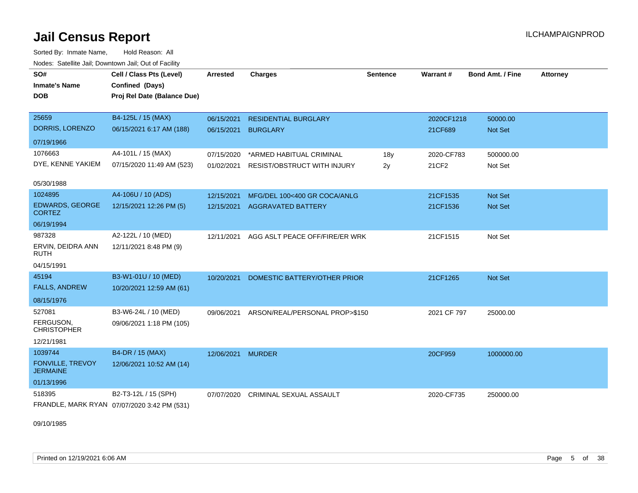Sorted By: Inmate Name, Hold Reason: All Nodes: Satellite Jail; Downtown Jail; Out of Facility

| SO#<br><b>Inmate's Name</b>                | Cell / Class Pts (Level)<br>Confined (Days) | <b>Arrested</b>   | <b>Charges</b>                            | <b>Sentence</b> | Warrant#    | <b>Bond Amt. / Fine</b> | <b>Attorney</b> |
|--------------------------------------------|---------------------------------------------|-------------------|-------------------------------------------|-----------------|-------------|-------------------------|-----------------|
| <b>DOB</b>                                 | Proj Rel Date (Balance Due)                 |                   |                                           |                 |             |                         |                 |
| 25659                                      | B4-125L / 15 (MAX)                          | 06/15/2021        | <b>RESIDENTIAL BURGLARY</b>               |                 | 2020CF1218  | 50000.00                |                 |
| DORRIS, LORENZO                            | 06/15/2021 6:17 AM (188)                    | 06/15/2021        | <b>BURGLARY</b>                           |                 | 21CF689     | <b>Not Set</b>          |                 |
| 07/19/1966                                 |                                             |                   |                                           |                 |             |                         |                 |
| 1076663                                    | A4-101L / 15 (MAX)                          | 07/15/2020        | *ARMED HABITUAL CRIMINAL                  | 18y             | 2020-CF783  | 500000.00               |                 |
| DYE, KENNE YAKIEM                          | 07/15/2020 11:49 AM (523)                   | 01/02/2021        | <b>RESIST/OBSTRUCT WITH INJURY</b>        | 2y              | 21CF2       | Not Set                 |                 |
| 05/30/1988                                 |                                             |                   |                                           |                 |             |                         |                 |
| 1024895                                    | A4-106U / 10 (ADS)                          | 12/15/2021        | MFG/DEL 100<400 GR COCA/ANLG              |                 | 21CF1535    | Not Set                 |                 |
| <b>EDWARDS, GEORGE</b><br><b>CORTEZ</b>    | 12/15/2021 12:26 PM (5)                     | 12/15/2021        | <b>AGGRAVATED BATTERY</b>                 |                 | 21CF1536    | <b>Not Set</b>          |                 |
| 06/19/1994                                 |                                             |                   |                                           |                 |             |                         |                 |
| 987328                                     | A2-122L / 10 (MED)                          | 12/11/2021        | AGG ASLT PEACE OFF/FIRE/ER WRK            |                 | 21CF1515    | Not Set                 |                 |
| ERVIN, DEIDRA ANN<br><b>RUTH</b>           | 12/11/2021 8:48 PM (9)                      |                   |                                           |                 |             |                         |                 |
| 04/15/1991                                 |                                             |                   |                                           |                 |             |                         |                 |
| 45194                                      | B3-W1-01U / 10 (MED)                        | 10/20/2021        | DOMESTIC BATTERY/OTHER PRIOR              |                 | 21CF1265    | Not Set                 |                 |
| <b>FALLS, ANDREW</b>                       | 10/20/2021 12:59 AM (61)                    |                   |                                           |                 |             |                         |                 |
| 08/15/1976                                 |                                             |                   |                                           |                 |             |                         |                 |
| 527081                                     | B3-W6-24L / 10 (MED)                        |                   | 09/06/2021 ARSON/REAL/PERSONAL PROP>\$150 |                 | 2021 CF 797 | 25000.00                |                 |
| FERGUSON,<br><b>CHRISTOPHER</b>            | 09/06/2021 1:18 PM (105)                    |                   |                                           |                 |             |                         |                 |
| 12/21/1981                                 |                                             |                   |                                           |                 |             |                         |                 |
| 1039744                                    | B4-DR / 15 (MAX)                            | 12/06/2021 MURDER |                                           |                 | 20CF959     | 1000000.00              |                 |
| <b>FONVILLE, TREVOY</b><br><b>JERMAINE</b> | 12/06/2021 10:52 AM (14)                    |                   |                                           |                 |             |                         |                 |
| 01/13/1996                                 |                                             |                   |                                           |                 |             |                         |                 |
| 518395                                     | B2-T3-12L / 15 (SPH)                        | 07/07/2020        | <b>CRIMINAL SEXUAL ASSAULT</b>            |                 | 2020-CF735  | 250000.00               |                 |
|                                            | FRANDLE, MARK RYAN 07/07/2020 3:42 PM (531) |                   |                                           |                 |             |                         |                 |

09/10/1985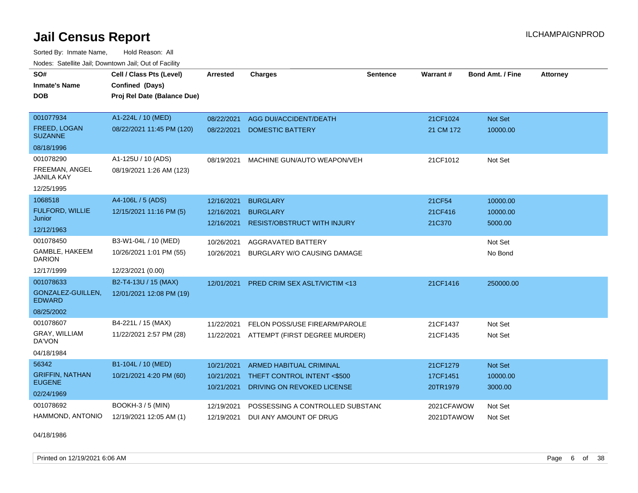Sorted By: Inmate Name, Hold Reason: All Nodes: Satellite Jail; Downtown Jail; Out of Facility

| SO#                                   | Cell / Class Pts (Level)    | <b>Arrested</b> | <b>Charges</b>                          | <b>Sentence</b> | <b>Warrant#</b> | <b>Bond Amt. / Fine</b> | <b>Attorney</b> |
|---------------------------------------|-----------------------------|-----------------|-----------------------------------------|-----------------|-----------------|-------------------------|-----------------|
| <b>Inmate's Name</b>                  | Confined (Days)             |                 |                                         |                 |                 |                         |                 |
| <b>DOB</b>                            | Proj Rel Date (Balance Due) |                 |                                         |                 |                 |                         |                 |
|                                       |                             |                 |                                         |                 |                 |                         |                 |
| 001077934                             | A1-224L / 10 (MED)          | 08/22/2021      | AGG DUI/ACCIDENT/DEATH                  |                 | 21CF1024        | Not Set                 |                 |
| <b>FREED, LOGAN</b><br><b>SUZANNE</b> | 08/22/2021 11:45 PM (120)   | 08/22/2021      | <b>DOMESTIC BATTERY</b>                 |                 | 21 CM 172       | 10000.00                |                 |
| 08/18/1996                            |                             |                 |                                         |                 |                 |                         |                 |
| 001078290                             | A1-125U / 10 (ADS)          | 08/19/2021      | MACHINE GUN/AUTO WEAPON/VEH             |                 | 21CF1012        | Not Set                 |                 |
| FREEMAN, ANGEL<br><b>JANILA KAY</b>   | 08/19/2021 1:26 AM (123)    |                 |                                         |                 |                 |                         |                 |
| 12/25/1995                            |                             |                 |                                         |                 |                 |                         |                 |
| 1068518                               | A4-106L / 5 (ADS)           | 12/16/2021      | <b>BURGLARY</b>                         |                 | 21CF54          | 10000.00                |                 |
| <b>FULFORD, WILLIE</b>                | 12/15/2021 11:16 PM (5)     | 12/16/2021      | <b>BURGLARY</b>                         |                 | 21CF416         | 10000.00                |                 |
| Junior<br>12/12/1963                  |                             | 12/16/2021      | <b>RESIST/OBSTRUCT WITH INJURY</b>      |                 | 21C370          | 5000.00                 |                 |
| 001078450                             | B3-W1-04L / 10 (MED)        | 10/26/2021      | <b>AGGRAVATED BATTERY</b>               |                 |                 | Not Set                 |                 |
| GAMBLE, HAKEEM                        | 10/26/2021 1:01 PM (55)     |                 |                                         |                 |                 | No Bond                 |                 |
| <b>DARION</b>                         |                             | 10/26/2021      | BURGLARY W/O CAUSING DAMAGE             |                 |                 |                         |                 |
| 12/17/1999                            | 12/23/2021 (0.00)           |                 |                                         |                 |                 |                         |                 |
| 001078633                             | B2-T4-13U / 15 (MAX)        | 12/01/2021      | <b>PRED CRIM SEX ASLT/VICTIM &lt;13</b> |                 | 21CF1416        | 250000.00               |                 |
| GONZALEZ-GUILLEN,<br><b>EDWARD</b>    | 12/01/2021 12:08 PM (19)    |                 |                                         |                 |                 |                         |                 |
| 08/25/2002                            |                             |                 |                                         |                 |                 |                         |                 |
| 001078607                             | B4-221L / 15 (MAX)          | 11/22/2021      | FELON POSS/USE FIREARM/PAROLE           |                 | 21CF1437        | Not Set                 |                 |
| GRAY, WILLIAM<br>DA'VON               | 11/22/2021 2:57 PM (28)     | 11/22/2021      | ATTEMPT (FIRST DEGREE MURDER)           |                 | 21CF1435        | Not Set                 |                 |
| 04/18/1984                            |                             |                 |                                         |                 |                 |                         |                 |
| 56342                                 | B1-104L / 10 (MED)          | 10/21/2021      | <b>ARMED HABITUAL CRIMINAL</b>          |                 | 21CF1279        | Not Set                 |                 |
| <b>GRIFFIN, NATHAN</b>                | 10/21/2021 4:20 PM (60)     | 10/21/2021      | THEFT CONTROL INTENT <\$500             |                 | 17CF1451        | 10000.00                |                 |
| <b>EUGENE</b>                         |                             | 10/21/2021      | DRIVING ON REVOKED LICENSE              |                 | 20TR1979        | 3000.00                 |                 |
| 02/24/1969                            |                             |                 |                                         |                 |                 |                         |                 |
| 001078692                             | <b>BOOKH-3 / 5 (MIN)</b>    | 12/19/2021      | POSSESSING A CONTROLLED SUBSTAND        |                 | 2021CFAWOW      | Not Set                 |                 |
| HAMMOND, ANTONIO                      | 12/19/2021 12:05 AM (1)     | 12/19/2021      | DUI ANY AMOUNT OF DRUG                  |                 | 2021DTAWOW      | Not Set                 |                 |

04/18/1986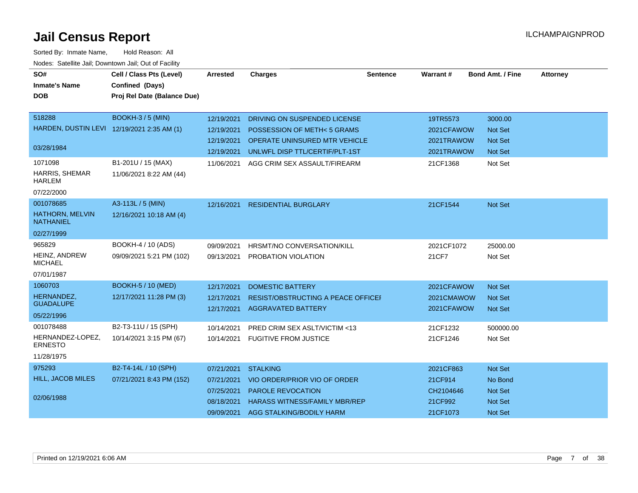| SO#<br><b>Inmate's Name</b>                | Cell / Class Pts (Level)    | <b>Arrested</b>          | <b>Charges</b>                                                  | <b>Sentence</b> | Warrant#                 | <b>Bond Amt. / Fine</b>          | <b>Attorney</b> |
|--------------------------------------------|-----------------------------|--------------------------|-----------------------------------------------------------------|-----------------|--------------------------|----------------------------------|-----------------|
|                                            | Confined (Days)             |                          |                                                                 |                 |                          |                                  |                 |
| <b>DOB</b>                                 | Proj Rel Date (Balance Due) |                          |                                                                 |                 |                          |                                  |                 |
|                                            |                             |                          |                                                                 |                 |                          |                                  |                 |
| 518288                                     | <b>BOOKH-3/5 (MIN)</b>      | 12/19/2021               | DRIVING ON SUSPENDED LICENSE                                    |                 | 19TR5573                 | 3000.00                          |                 |
| HARDEN, DUSTIN LEVI 12/19/2021 2:35 AM (1) |                             | 12/19/2021               | POSSESSION OF METH< 5 GRAMS                                     |                 | 2021CFAWOW               | <b>Not Set</b>                   |                 |
| 03/28/1984                                 |                             | 12/19/2021               | OPERATE UNINSURED MTR VEHICLE                                   |                 | 2021TRAWOW               | <b>Not Set</b>                   |                 |
|                                            |                             | 12/19/2021               | UNLWFL DISP TTL/CERTIF/PLT-1ST                                  |                 | 2021TRAWOW               | <b>Not Set</b>                   |                 |
| 1071098                                    | B1-201U / 15 (MAX)          | 11/06/2021               | AGG CRIM SEX ASSAULT/FIREARM                                    |                 | 21CF1368                 | Not Set                          |                 |
| <b>HARRIS, SHEMAR</b><br><b>HARLEM</b>     | 11/06/2021 8:22 AM (44)     |                          |                                                                 |                 |                          |                                  |                 |
| 07/22/2000                                 |                             |                          |                                                                 |                 |                          |                                  |                 |
| 001078685                                  | A3-113L / 5 (MIN)           | 12/16/2021               | <b>RESIDENTIAL BURGLARY</b>                                     |                 | 21CF1544                 | Not Set                          |                 |
| HATHORN, MELVIN<br><b>NATHANIEL</b>        | 12/16/2021 10:18 AM (4)     |                          |                                                                 |                 |                          |                                  |                 |
| 02/27/1999                                 |                             |                          |                                                                 |                 |                          |                                  |                 |
| 965829                                     | BOOKH-4 / 10 (ADS)          | 09/09/2021               | HRSMT/NO CONVERSATION/KILL                                      |                 | 2021CF1072               | 25000.00                         |                 |
| HEINZ, ANDREW<br><b>MICHAEL</b>            | 09/09/2021 5:21 PM (102)    | 09/13/2021               | PROBATION VIOLATION                                             |                 | 21CF7                    | Not Set                          |                 |
| 07/01/1987                                 |                             |                          |                                                                 |                 |                          |                                  |                 |
| 1060703                                    | <b>BOOKH-5 / 10 (MED)</b>   | 12/17/2021               | <b>DOMESTIC BATTERY</b>                                         |                 | 2021CFAWOW               | <b>Not Set</b>                   |                 |
| HERNANDEZ,<br><b>GUADALUPE</b>             | 12/17/2021 11:28 PM (3)     | 12/17/2021<br>12/17/2021 | RESIST/OBSTRUCTING A PEACE OFFICEF<br><b>AGGRAVATED BATTERY</b> |                 | 2021CMAWOW<br>2021CFAWOW | <b>Not Set</b><br><b>Not Set</b> |                 |
| 05/22/1996                                 |                             |                          |                                                                 |                 |                          |                                  |                 |
| 001078488                                  | B2-T3-11U / 15 (SPH)        | 10/14/2021               | PRED CRIM SEX ASLT/VICTIM <13                                   |                 | 21CF1232                 | 500000.00                        |                 |
| HERNANDEZ-LOPEZ,<br><b>ERNESTO</b>         | 10/14/2021 3:15 PM (67)     | 10/14/2021               | <b>FUGITIVE FROM JUSTICE</b>                                    |                 | 21CF1246                 | Not Set                          |                 |
| 11/28/1975                                 |                             |                          |                                                                 |                 |                          |                                  |                 |
| 975293                                     | B2-T4-14L / 10 (SPH)        | 07/21/2021               | <b>STALKING</b>                                                 |                 | 2021CF863                | Not Set                          |                 |
| <b>HILL, JACOB MILES</b>                   | 07/21/2021 8:43 PM (152)    | 07/21/2021               | VIO ORDER/PRIOR VIO OF ORDER                                    |                 | 21CF914                  | No Bond                          |                 |
|                                            |                             | 07/25/2021               | <b>PAROLE REVOCATION</b>                                        |                 | CH2104646                | <b>Not Set</b>                   |                 |
| 02/06/1988                                 |                             | 08/18/2021               | <b>HARASS WITNESS/FAMILY MBR/REP</b>                            |                 | 21CF992                  | Not Set                          |                 |
|                                            |                             | 09/09/2021               | AGG STALKING/BODILY HARM                                        |                 | 21CF1073                 | Not Set                          |                 |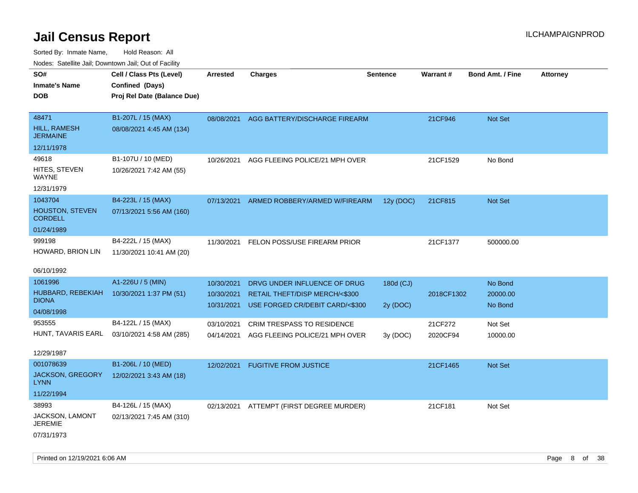| roaco. Calcinio dan, Downtown dan, Cal or Fability |                                             |            |                                          |                 |                 |                         |                 |
|----------------------------------------------------|---------------------------------------------|------------|------------------------------------------|-----------------|-----------------|-------------------------|-----------------|
| SO#                                                | Cell / Class Pts (Level)                    | Arrested   | Charges                                  | <b>Sentence</b> | <b>Warrant#</b> | <b>Bond Amt. / Fine</b> | <b>Attorney</b> |
| Inmate's Name                                      | Confined (Days)                             |            |                                          |                 |                 |                         |                 |
| <b>DOB</b>                                         | Proj Rel Date (Balance Due)                 |            |                                          |                 |                 |                         |                 |
|                                                    |                                             |            |                                          |                 |                 |                         |                 |
| 48471                                              | B1-207L / 15 (MAX)                          | 08/08/2021 | AGG BATTERY/DISCHARGE FIREARM            |                 | 21CF946         | <b>Not Set</b>          |                 |
| <b>HILL, RAMESH</b><br>JERMAINE                    | 08/08/2021 4:45 AM (134)                    |            |                                          |                 |                 |                         |                 |
| 12/11/1978                                         |                                             |            |                                          |                 |                 |                         |                 |
| 49618                                              | B1-107U / 10 (MED)                          | 10/26/2021 | AGG FLEEING POLICE/21 MPH OVER           |                 | 21CF1529        | No Bond                 |                 |
| HITES, STEVEN<br>WAYNE                             | 10/26/2021 7:42 AM (55)                     |            |                                          |                 |                 |                         |                 |
| 12/31/1979                                         |                                             |            |                                          |                 |                 |                         |                 |
| 1043704                                            | B4-223L / 15 (MAX)                          | 07/13/2021 | ARMED ROBBERY/ARMED W/FIREARM            | 12y (DOC)       | 21CF815         | <b>Not Set</b>          |                 |
| <b>HOUSTON, STEVEN</b><br><b>CORDELL</b>           | 07/13/2021 5:56 AM (160)                    |            |                                          |                 |                 |                         |                 |
| 01/24/1989                                         |                                             |            |                                          |                 |                 |                         |                 |
| 999198                                             | B4-222L / 15 (MAX)                          | 11/30/2021 | FELON POSS/USE FIREARM PRIOR             |                 | 21CF1377        | 500000.00               |                 |
| HOWARD, BRION LIN                                  | 11/30/2021 10:41 AM (20)                    |            |                                          |                 |                 |                         |                 |
|                                                    |                                             |            |                                          |                 |                 |                         |                 |
| 06/10/1992                                         |                                             |            |                                          |                 |                 |                         |                 |
| 1061996                                            | A1-226U / 5 (MIN)                           | 10/30/2021 | DRVG UNDER INFLUENCE OF DRUG             | 180d (CJ)       |                 | No Bond                 |                 |
| HUBBARD, REBEKIAH                                  | 10/30/2021 1:37 PM (51)                     | 10/30/2021 | RETAIL THEFT/DISP MERCH/<\$300           |                 | 2018CF1302      | 20000.00                |                 |
| <b>DIONA</b>                                       |                                             | 10/31/2021 | USE FORGED CR/DEBIT CARD/<\$300          | 2y (DOC)        |                 | No Bond                 |                 |
| 04/08/1998                                         |                                             |            |                                          |                 |                 |                         |                 |
| 953555                                             | B4-122L / 15 (MAX)                          | 03/10/2021 | <b>CRIM TRESPASS TO RESIDENCE</b>        |                 | 21CF272         | Not Set                 |                 |
|                                                    | HUNT, TAVARIS EARL 03/10/2021 4:58 AM (285) | 04/14/2021 | AGG FLEEING POLICE/21 MPH OVER           | 3y (DOC)        | 2020CF94        | 10000.00                |                 |
| 12/29/1987                                         |                                             |            |                                          |                 |                 |                         |                 |
| 001078639                                          | B1-206L / 10 (MED)                          | 12/02/2021 | <b>FUGITIVE FROM JUSTICE</b>             |                 | 21CF1465        | <b>Not Set</b>          |                 |
| JACKSON, GREGORY<br>LYNN                           | 12/02/2021 3:43 AM (18)                     |            |                                          |                 |                 |                         |                 |
| 11/22/1994                                         |                                             |            |                                          |                 |                 |                         |                 |
| 38993                                              | B4-126L / 15 (MAX)                          |            | 02/13/2021 ATTEMPT (FIRST DEGREE MURDER) |                 | 21CF181         | Not Set                 |                 |
| JACKSON, LAMONT                                    | 02/13/2021 7:45 AM (310)                    |            |                                          |                 |                 |                         |                 |
| <b>JEREMIE</b>                                     |                                             |            |                                          |                 |                 |                         |                 |
| 07/31/1973                                         |                                             |            |                                          |                 |                 |                         |                 |
|                                                    |                                             |            |                                          |                 |                 |                         |                 |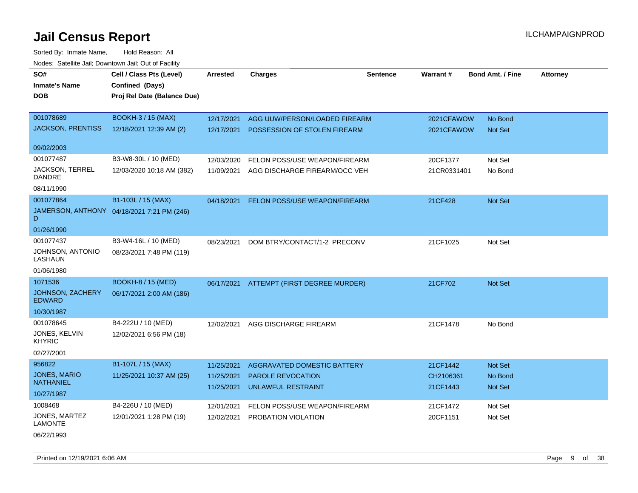Sorted By: Inmate Name, Hold Reason: All Nodes: Satellite Jail; Downtown Jail; Out of Facility

| SO#                               | Cell / Class Pts (Level)                   | <b>Arrested</b> | <b>Charges</b>                       | <b>Sentence</b> | Warrant#    | <b>Bond Amt. / Fine</b> | <b>Attorney</b> |
|-----------------------------------|--------------------------------------------|-----------------|--------------------------------------|-----------------|-------------|-------------------------|-----------------|
| <b>Inmate's Name</b>              | Confined (Days)                            |                 |                                      |                 |             |                         |                 |
| <b>DOB</b>                        | Proj Rel Date (Balance Due)                |                 |                                      |                 |             |                         |                 |
|                                   |                                            |                 |                                      |                 |             |                         |                 |
| 001078689                         | <b>BOOKH-3 / 15 (MAX)</b>                  | 12/17/2021      | AGG UUW/PERSON/LOADED FIREARM        |                 | 2021CFAWOW  | No Bond                 |                 |
| <b>JACKSON, PRENTISS</b>          | 12/18/2021 12:39 AM (2)                    | 12/17/2021      | POSSESSION OF STOLEN FIREARM         |                 | 2021CFAWOW  | Not Set                 |                 |
|                                   |                                            |                 |                                      |                 |             |                         |                 |
| 09/02/2003                        |                                            |                 |                                      |                 |             |                         |                 |
| 001077487                         | B3-W8-30L / 10 (MED)                       | 12/03/2020      | FELON POSS/USE WEAPON/FIREARM        |                 | 20CF1377    | Not Set                 |                 |
| <b>JACKSON, TERREL</b><br>DANDRE  | 12/03/2020 10:18 AM (382)                  | 11/09/2021      | AGG DISCHARGE FIREARM/OCC VEH        |                 | 21CR0331401 | No Bond                 |                 |
| 08/11/1990                        |                                            |                 |                                      |                 |             |                         |                 |
| 001077864                         | B1-103L / 15 (MAX)                         | 04/18/2021      | <b>FELON POSS/USE WEAPON/FIREARM</b> |                 | 21CF428     | Not Set                 |                 |
| D                                 | JAMERSON, ANTHONY 04/18/2021 7:21 PM (246) |                 |                                      |                 |             |                         |                 |
| 01/26/1990                        |                                            |                 |                                      |                 |             |                         |                 |
| 001077437                         | B3-W4-16L / 10 (MED)                       | 08/23/2021      | DOM BTRY/CONTACT/1-2 PRECONV         |                 | 21CF1025    | Not Set                 |                 |
| JOHNSON, ANTONIO<br>LASHAUN       | 08/23/2021 7:48 PM (119)                   |                 |                                      |                 |             |                         |                 |
| 01/06/1980                        |                                            |                 |                                      |                 |             |                         |                 |
| 1071536                           | <b>BOOKH-8 / 15 (MED)</b>                  | 06/17/2021      | ATTEMPT (FIRST DEGREE MURDER)        |                 | 21CF702     | Not Set                 |                 |
| JOHNSON, ZACHERY<br><b>EDWARD</b> | 06/17/2021 2:00 AM (186)                   |                 |                                      |                 |             |                         |                 |
| 10/30/1987                        |                                            |                 |                                      |                 |             |                         |                 |
| 001078645                         | B4-222U / 10 (MED)                         | 12/02/2021      | AGG DISCHARGE FIREARM                |                 | 21CF1478    | No Bond                 |                 |
| JONES, KELVIN<br><b>KHYRIC</b>    | 12/02/2021 6:56 PM (18)                    |                 |                                      |                 |             |                         |                 |
| 02/27/2001                        |                                            |                 |                                      |                 |             |                         |                 |
| 956822                            | B1-107L / 15 (MAX)                         | 11/25/2021      | AGGRAVATED DOMESTIC BATTERY          |                 | 21CF1442    | Not Set                 |                 |
| JONES, MARIO                      | 11/25/2021 10:37 AM (25)                   | 11/25/2021      | PAROLE REVOCATION                    |                 | CH2106361   | No Bond                 |                 |
| <b>NATHANIEL</b>                  |                                            | 11/25/2021      | UNLAWFUL RESTRAINT                   |                 | 21CF1443    | Not Set                 |                 |
| 10/27/1987                        |                                            |                 |                                      |                 |             |                         |                 |
| 1008468                           | B4-226U / 10 (MED)                         | 12/01/2021      | FELON POSS/USE WEAPON/FIREARM        |                 | 21CF1472    | Not Set                 |                 |
| JONES, MARTEZ<br><b>LAMONTE</b>   | 12/01/2021 1:28 PM (19)                    | 12/02/2021      | PROBATION VIOLATION                  |                 | 20CF1151    | Not Set                 |                 |
| 06/22/1993                        |                                            |                 |                                      |                 |             |                         |                 |

Printed on 12/19/2021 6:06 AM **Page 9 of 38**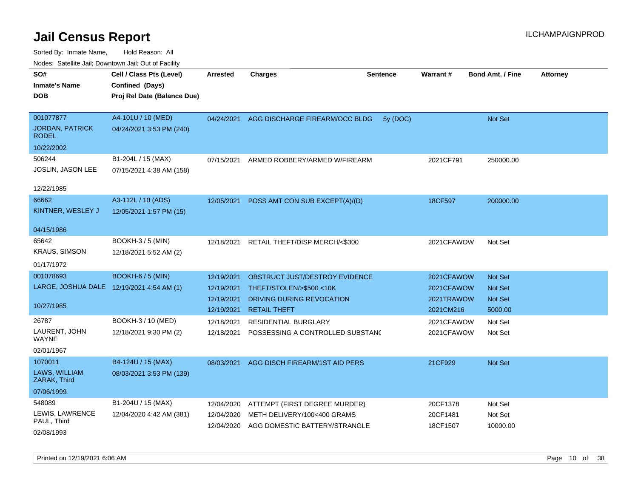| SO#<br><b>Inmate's Name</b><br>DOB                  | Cell / Class Pts (Level)<br>Confined (Days)<br>Proj Rel Date (Balance Due) | Arrested                 | <b>Charges</b>                                                          | <b>Sentence</b> | Warrant#                | <b>Bond Amt. / Fine</b> | <b>Attorney</b> |
|-----------------------------------------------------|----------------------------------------------------------------------------|--------------------------|-------------------------------------------------------------------------|-----------------|-------------------------|-------------------------|-----------------|
| 001077877<br><b>JORDAN, PATRICK</b><br><b>RODEL</b> | A4-101U / 10 (MED)<br>04/24/2021 3:53 PM (240)                             | 04/24/2021               | AGG DISCHARGE FIREARM/OCC BLDG                                          | 5y (DOC)        |                         | Not Set                 |                 |
| 10/22/2002                                          |                                                                            |                          |                                                                         |                 |                         |                         |                 |
| 506244<br><b>JOSLIN, JASON LEE</b>                  | B1-204L / 15 (MAX)<br>07/15/2021 4:38 AM (158)                             | 07/15/2021               | ARMED ROBBERY/ARMED W/FIREARM                                           |                 | 2021CF791               | 250000.00               |                 |
| 12/22/1985                                          |                                                                            |                          |                                                                         |                 |                         |                         |                 |
| 66662<br>KINTNER, WESLEY J                          | A3-112L / 10 (ADS)<br>12/05/2021 1:57 PM (15)                              | 12/05/2021               | POSS AMT CON SUB EXCEPT(A)/(D)                                          |                 | 18CF597                 | 200000.00               |                 |
| 04/15/1986                                          |                                                                            |                          |                                                                         |                 |                         |                         |                 |
| 65642<br><b>KRAUS, SIMSON</b><br>01/17/1972         | <b>BOOKH-3 / 5 (MIN)</b><br>12/18/2021 5:52 AM (2)                         | 12/18/2021               | RETAIL THEFT/DISP MERCH/<\$300                                          |                 | 2021CFAWOW              | Not Set                 |                 |
| 001078693                                           | <b>BOOKH-6 / 5 (MIN)</b>                                                   | 12/19/2021               | OBSTRUCT JUST/DESTROY EVIDENCE                                          |                 | 2021CFAWOW              | Not Set                 |                 |
| LARGE, JOSHUA DALE 12/19/2021 4:54 AM (1)           |                                                                            | 12/19/2021               | THEFT/STOLEN/>\$500 <10K                                                |                 | 2021CFAWOW              | Not Set                 |                 |
| 10/27/1985                                          |                                                                            | 12/19/2021<br>12/19/2021 | DRIVING DURING REVOCATION<br><b>RETAIL THEFT</b>                        |                 | 2021TRAWOW<br>2021CM216 | Not Set<br>5000.00      |                 |
| 26787                                               | BOOKH-3 / 10 (MED)                                                         | 12/18/2021               | <b>RESIDENTIAL BURGLARY</b>                                             |                 | 2021CFAWOW              | Not Set                 |                 |
| LAURENT, JOHN<br>WAYNE                              | 12/18/2021 9:30 PM (2)                                                     | 12/18/2021               | POSSESSING A CONTROLLED SUBSTANC                                        |                 | 2021CFAWOW              | Not Set                 |                 |
| 02/01/1967                                          |                                                                            |                          |                                                                         |                 |                         |                         |                 |
| 1070011                                             | B4-124U / 15 (MAX)                                                         | 08/03/2021               | AGG DISCH FIREARM/1ST AID PERS                                          |                 | 21CF929                 | Not Set                 |                 |
| LAWS, WILLIAM<br>ZARAK, Third                       | 08/03/2021 3:53 PM (139)                                                   |                          |                                                                         |                 |                         |                         |                 |
| 07/06/1999                                          |                                                                            |                          |                                                                         |                 |                         |                         |                 |
| 548089                                              | B1-204U / 15 (MAX)                                                         | 12/04/2020               | ATTEMPT (FIRST DEGREE MURDER)                                           |                 | 20CF1378                | Not Set                 |                 |
| LEWIS, LAWRENCE<br>PAUL, Third<br>02/08/1993        | 12/04/2020 4:42 AM (381)                                                   | 12/04/2020               | METH DELIVERY/100<400 GRAMS<br>12/04/2020 AGG DOMESTIC BATTERY/STRANGLE |                 | 20CF1481<br>18CF1507    | Not Set<br>10000.00     |                 |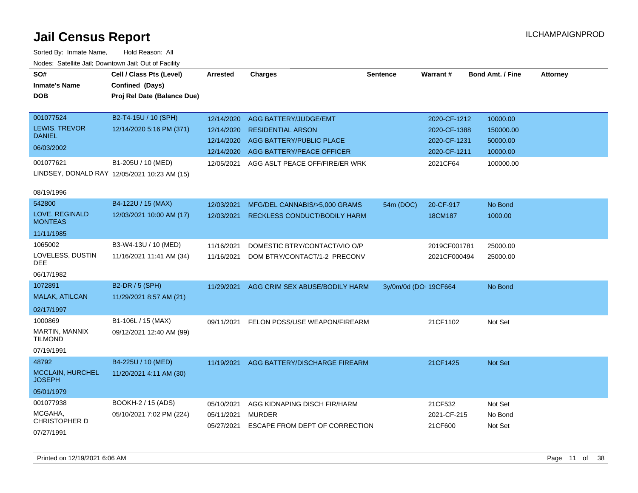| SO#<br><b>Inmate's Name</b>       | Cell / Class Pts (Level)<br>Confined (Days)  | <b>Arrested</b> | <b>Charges</b>                 | <b>Sentence</b>       | Warrant#     | <b>Bond Amt. / Fine</b> | <b>Attorney</b> |
|-----------------------------------|----------------------------------------------|-----------------|--------------------------------|-----------------------|--------------|-------------------------|-----------------|
| <b>DOB</b>                        | Proj Rel Date (Balance Due)                  |                 |                                |                       |              |                         |                 |
| 001077524                         | B2-T4-15U / 10 (SPH)                         | 12/14/2020      | <b>AGG BATTERY/JUDGE/EMT</b>   |                       | 2020-CF-1212 | 10000.00                |                 |
| LEWIS, TREVOR                     | 12/14/2020 5:16 PM (371)                     | 12/14/2020      | <b>RESIDENTIAL ARSON</b>       |                       | 2020-CF-1388 | 150000.00               |                 |
| <b>DANIEL</b><br>06/03/2002       |                                              | 12/14/2020      | AGG BATTERY/PUBLIC PLACE       |                       | 2020-CF-1231 | 50000.00                |                 |
|                                   |                                              | 12/14/2020      | AGG BATTERY/PEACE OFFICER      |                       | 2020-CF-1211 | 10000.00                |                 |
| 001077621                         | B1-205U / 10 (MED)                           | 12/05/2021      | AGG ASLT PEACE OFF/FIRE/ER WRK |                       | 2021CF64     | 100000.00               |                 |
|                                   | LINDSEY, DONALD RAY 12/05/2021 10:23 AM (15) |                 |                                |                       |              |                         |                 |
| 08/19/1996                        |                                              |                 |                                |                       |              |                         |                 |
| 542800                            | B4-122U / 15 (MAX)                           | 12/03/2021      | MFG/DEL CANNABIS/>5,000 GRAMS  | 54m (DOC)             | 20-CF-917    | No Bond                 |                 |
| LOVE, REGINALD<br><b>MONTEAS</b>  | 12/03/2021 10:00 AM (17)                     | 12/03/2021      | RECKLESS CONDUCT/BODILY HARM   |                       | 18CM187      | 1000.00                 |                 |
| 11/11/1985                        |                                              |                 |                                |                       |              |                         |                 |
| 1065002                           | B3-W4-13U / 10 (MED)                         | 11/16/2021      | DOMESTIC BTRY/CONTACT/VIO O/P  |                       | 2019CF001781 | 25000.00                |                 |
| LOVELESS, DUSTIN<br><b>DEE</b>    | 11/16/2021 11:41 AM (34)                     | 11/16/2021      | DOM BTRY/CONTACT/1-2 PRECONV   |                       | 2021CF000494 | 25000.00                |                 |
| 06/17/1982                        |                                              |                 |                                |                       |              |                         |                 |
| 1072891                           | B2-DR / 5 (SPH)                              | 11/29/2021      | AGG CRIM SEX ABUSE/BODILY HARM | 3y/0m/0d (DOI 19CF664 |              | No Bond                 |                 |
| <b>MALAK, ATILCAN</b>             | 11/29/2021 8:57 AM (21)                      |                 |                                |                       |              |                         |                 |
| 02/17/1997                        |                                              |                 |                                |                       |              |                         |                 |
| 1000869                           | B1-106L / 15 (MAX)                           | 09/11/2021      | FELON POSS/USE WEAPON/FIREARM  |                       | 21CF1102     | Not Set                 |                 |
| MARTIN, MANNIX<br><b>TILMOND</b>  | 09/12/2021 12:40 AM (99)                     |                 |                                |                       |              |                         |                 |
| 07/19/1991                        |                                              |                 |                                |                       |              |                         |                 |
| 48792                             | B4-225U / 10 (MED)                           | 11/19/2021      | AGG BATTERY/DISCHARGE FIREARM  |                       | 21CF1425     | Not Set                 |                 |
| MCCLAIN, HURCHEL<br><b>JOSEPH</b> | 11/20/2021 4:11 AM (30)                      |                 |                                |                       |              |                         |                 |
| 05/01/1979                        |                                              |                 |                                |                       |              |                         |                 |
| 001077938                         | BOOKH-2 / 15 (ADS)                           | 05/10/2021      | AGG KIDNAPING DISCH FIR/HARM   |                       | 21CF532      | Not Set                 |                 |
| MCGAHA,<br><b>CHRISTOPHER D</b>   | 05/10/2021 7:02 PM (224)                     | 05/11/2021      | <b>MURDER</b>                  |                       | 2021-CF-215  | No Bond                 |                 |
| 07/27/1991                        |                                              | 05/27/2021      | ESCAPE FROM DEPT OF CORRECTION |                       | 21CF600      | Not Set                 |                 |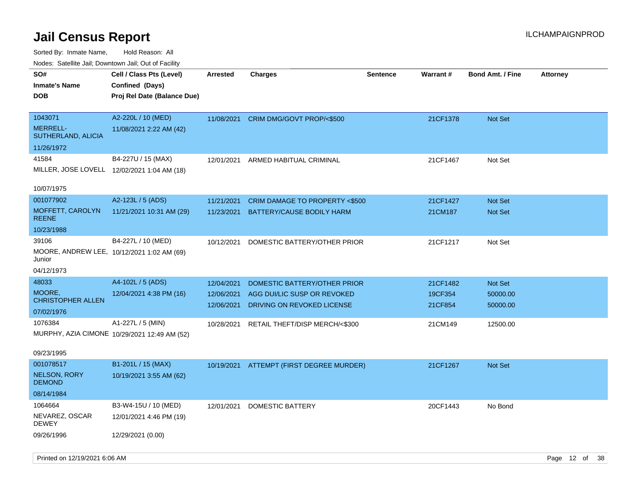| indues. Satellite Jali, Downtown Jali, Out of Facility |                                              |                 |                                           |                 |          |                  |                 |
|--------------------------------------------------------|----------------------------------------------|-----------------|-------------------------------------------|-----------------|----------|------------------|-----------------|
| SO#                                                    | Cell / Class Pts (Level)                     | <b>Arrested</b> | <b>Charges</b>                            | <b>Sentence</b> | Warrant# | Bond Amt. / Fine | <b>Attorney</b> |
| <b>Inmate's Name</b>                                   | Confined (Days)                              |                 |                                           |                 |          |                  |                 |
| <b>DOB</b>                                             | Proj Rel Date (Balance Due)                  |                 |                                           |                 |          |                  |                 |
|                                                        |                                              |                 |                                           |                 |          |                  |                 |
| 1043071                                                | A2-220L / 10 (MED)                           | 11/08/2021      | CRIM DMG/GOVT PROP/<\$500                 |                 | 21CF1378 | Not Set          |                 |
| <b>MERRELL-</b><br>SUTHERLAND, ALICIA                  | 11/08/2021 2:22 AM (42)                      |                 |                                           |                 |          |                  |                 |
| 11/26/1972                                             |                                              |                 |                                           |                 |          |                  |                 |
| 41584                                                  | B4-227U / 15 (MAX)                           | 12/01/2021      | ARMED HABITUAL CRIMINAL                   |                 | 21CF1467 | Not Set          |                 |
| MILLER, JOSE LOVELL 12/02/2021 1:04 AM (18)            |                                              |                 |                                           |                 |          |                  |                 |
|                                                        |                                              |                 |                                           |                 |          |                  |                 |
| 10/07/1975                                             |                                              |                 |                                           |                 |          |                  |                 |
| 001077902                                              | A2-123L / 5 (ADS)                            | 11/21/2021      | CRIM DAMAGE TO PROPERTY <\$500            |                 | 21CF1427 | <b>Not Set</b>   |                 |
| MOFFETT, CAROLYN                                       | 11/21/2021 10:31 AM (29)                     | 11/23/2021      | BATTERY/CAUSE BODILY HARM                 |                 | 21CM187  | Not Set          |                 |
| <b>REENE</b>                                           |                                              |                 |                                           |                 |          |                  |                 |
| 10/23/1988                                             |                                              |                 |                                           |                 |          |                  |                 |
| 39106                                                  | B4-227L / 10 (MED)                           | 10/12/2021      | DOMESTIC BATTERY/OTHER PRIOR              |                 | 21CF1217 | Not Set          |                 |
| MOORE, ANDREW LEE, 10/12/2021 1:02 AM (69)<br>Junior   |                                              |                 |                                           |                 |          |                  |                 |
| 04/12/1973                                             |                                              |                 |                                           |                 |          |                  |                 |
| 48033                                                  | A4-102L / 5 (ADS)                            | 12/04/2021      | DOMESTIC BATTERY/OTHER PRIOR              |                 | 21CF1482 | Not Set          |                 |
| MOORE,                                                 | 12/04/2021 4:38 PM (16)                      |                 |                                           |                 |          |                  |                 |
| <b>CHRISTOPHER ALLEN</b>                               |                                              | 12/06/2021      | AGG DUI/LIC SUSP OR REVOKED               |                 | 19CF354  | 50000.00         |                 |
| 07/02/1976                                             |                                              | 12/06/2021      | DRIVING ON REVOKED LICENSE                |                 | 21CF854  | 50000.00         |                 |
| 1076384                                                | A1-227L / 5 (MIN)                            |                 | 10/28/2021 RETAIL THEFT/DISP MERCH/<\$300 |                 | 21CM149  | 12500.00         |                 |
|                                                        | MURPHY, AZIA CIMONE 10/29/2021 12:49 AM (52) |                 |                                           |                 |          |                  |                 |
|                                                        |                                              |                 |                                           |                 |          |                  |                 |
| 09/23/1995                                             |                                              |                 |                                           |                 |          |                  |                 |
| 001078517                                              | B1-201L / 15 (MAX)                           |                 | 10/19/2021 ATTEMPT (FIRST DEGREE MURDER)  |                 | 21CF1267 | Not Set          |                 |
| <b>NELSON, RORY</b><br><b>DEMOND</b>                   | 10/19/2021 3:55 AM (62)                      |                 |                                           |                 |          |                  |                 |
| 08/14/1984                                             |                                              |                 |                                           |                 |          |                  |                 |
| 1064664                                                | B3-W4-15U / 10 (MED)                         | 12/01/2021      | DOMESTIC BATTERY                          |                 | 20CF1443 | No Bond          |                 |
| NEVAREZ, OSCAR<br><b>DEWEY</b>                         | 12/01/2021 4:46 PM (19)                      |                 |                                           |                 |          |                  |                 |
| 09/26/1996                                             | 12/29/2021 (0.00)                            |                 |                                           |                 |          |                  |                 |
|                                                        |                                              |                 |                                           |                 |          |                  |                 |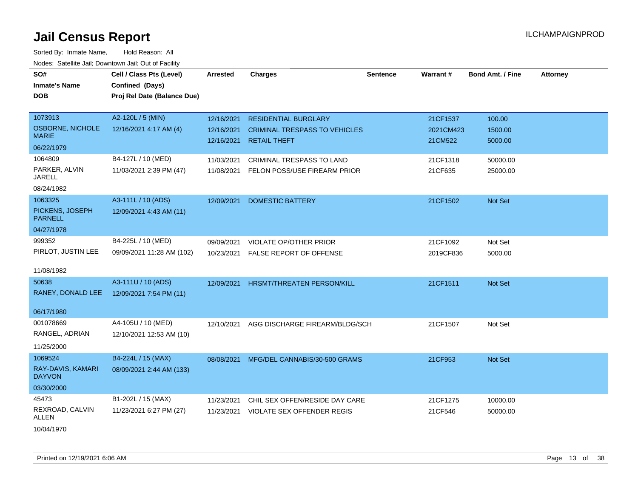| SO#<br><b>Inmate's Name</b><br><b>DOB</b> | Cell / Class Pts (Level)<br>Confined (Days)<br>Proj Rel Date (Balance Due) | Arrested   | <b>Charges</b>                       | <b>Sentence</b> | Warrant#  | <b>Bond Amt. / Fine</b> | <b>Attorney</b> |
|-------------------------------------------|----------------------------------------------------------------------------|------------|--------------------------------------|-----------------|-----------|-------------------------|-----------------|
| 1073913                                   | A2-120L / 5 (MIN)                                                          | 12/16/2021 | <b>RESIDENTIAL BURGLARY</b>          |                 | 21CF1537  | 100.00                  |                 |
| OSBORNE, NICHOLE<br><b>MARIE</b>          | 12/16/2021 4:17 AM (4)                                                     | 12/16/2021 | <b>CRIMINAL TRESPASS TO VEHICLES</b> |                 | 2021CM423 | 1500.00                 |                 |
| 06/22/1979                                |                                                                            | 12/16/2021 | <b>RETAIL THEFT</b>                  |                 | 21CM522   | 5000.00                 |                 |
| 1064809                                   | B4-127L / 10 (MED)                                                         | 11/03/2021 | CRIMINAL TRESPASS TO LAND            |                 | 21CF1318  | 50000.00                |                 |
| PARKER, ALVIN<br>JARELL                   | 11/03/2021 2:39 PM (47)                                                    | 11/08/2021 | FELON POSS/USE FIREARM PRIOR         |                 | 21CF635   | 25000.00                |                 |
| 08/24/1982                                |                                                                            |            |                                      |                 |           |                         |                 |
| 1063325                                   | A3-111L / 10 (ADS)                                                         | 12/09/2021 | <b>DOMESTIC BATTERY</b>              |                 | 21CF1502  | Not Set                 |                 |
| PICKENS, JOSEPH<br><b>PARNELL</b>         | 12/09/2021 4:43 AM (11)                                                    |            |                                      |                 |           |                         |                 |
| 04/27/1978                                |                                                                            |            |                                      |                 |           |                         |                 |
| 999352                                    | B4-225L / 10 (MED)                                                         | 09/09/2021 | <b>VIOLATE OP/OTHER PRIOR</b>        |                 | 21CF1092  | Not Set                 |                 |
| PIRLOT, JUSTIN LEE                        | 09/09/2021 11:28 AM (102)                                                  | 10/23/2021 | <b>FALSE REPORT OF OFFENSE</b>       |                 | 2019CF836 | 5000.00                 |                 |
| 11/08/1982                                |                                                                            |            |                                      |                 |           |                         |                 |
| 50638                                     | A3-111U / 10 (ADS)                                                         | 12/09/2021 | HRSMT/THREATEN PERSON/KILL           |                 | 21CF1511  | Not Set                 |                 |
| RANEY, DONALD LEE                         | 12/09/2021 7:54 PM (11)                                                    |            |                                      |                 |           |                         |                 |
| 06/17/1980                                |                                                                            |            |                                      |                 |           |                         |                 |
| 001078669                                 | A4-105U / 10 (MED)                                                         | 12/10/2021 | AGG DISCHARGE FIREARM/BLDG/SCH       |                 | 21CF1507  | Not Set                 |                 |
| RANGEL, ADRIAN                            | 12/10/2021 12:53 AM (10)                                                   |            |                                      |                 |           |                         |                 |
| 11/25/2000                                |                                                                            |            |                                      |                 |           |                         |                 |
| 1069524                                   | B4-224L / 15 (MAX)                                                         | 08/08/2021 | MFG/DEL CANNABIS/30-500 GRAMS        |                 | 21CF953   | Not Set                 |                 |
| RAY-DAVIS, KAMARI<br><b>DAYVON</b>        | 08/09/2021 2:44 AM (133)                                                   |            |                                      |                 |           |                         |                 |
| 03/30/2000                                |                                                                            |            |                                      |                 |           |                         |                 |
| 45473                                     | B1-202L / 15 (MAX)                                                         | 11/23/2021 | CHIL SEX OFFEN/RESIDE DAY CARE       |                 | 21CF1275  | 10000.00                |                 |
| REXROAD, CALVIN<br>ALLEN                  | 11/23/2021 6:27 PM (27)                                                    | 11/23/2021 | <b>VIOLATE SEX OFFENDER REGIS</b>    |                 | 21CF546   | 50000.00                |                 |
| 10/04/1970                                |                                                                            |            |                                      |                 |           |                         |                 |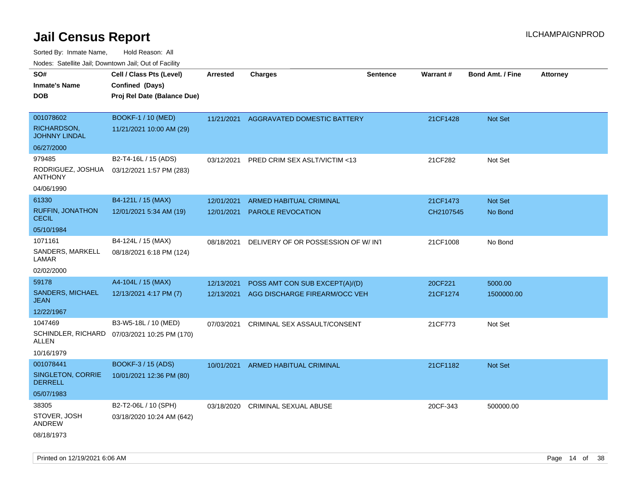Sorted By: Inmate Name, Hold Reason: All

| Nodes: Satellite Jail; Downtown Jail; Out of Facility |                             |            |                                    |                 |           |                         |                 |
|-------------------------------------------------------|-----------------------------|------------|------------------------------------|-----------------|-----------|-------------------------|-----------------|
| SO#                                                   | Cell / Class Pts (Level)    | Arrested   | <b>Charges</b>                     | <b>Sentence</b> | Warrant#  | <b>Bond Amt. / Fine</b> | <b>Attorney</b> |
| <b>Inmate's Name</b>                                  | Confined (Days)             |            |                                    |                 |           |                         |                 |
| <b>DOB</b>                                            | Proj Rel Date (Balance Due) |            |                                    |                 |           |                         |                 |
|                                                       |                             |            |                                    |                 |           |                         |                 |
| 001078602                                             | <b>BOOKF-1 / 10 (MED)</b>   | 11/21/2021 | AGGRAVATED DOMESTIC BATTERY        |                 | 21CF1428  | Not Set                 |                 |
| RICHARDSON,<br><b>JOHNNY LINDAL</b>                   | 11/21/2021 10:00 AM (29)    |            |                                    |                 |           |                         |                 |
| 06/27/2000                                            |                             |            |                                    |                 |           |                         |                 |
| 979485                                                | B2-T4-16L / 15 (ADS)        | 03/12/2021 | PRED CRIM SEX ASLT/VICTIM <13      |                 | 21CF282   | Not Set                 |                 |
| RODRIGUEZ, JOSHUA<br><b>ANTHONY</b>                   | 03/12/2021 1:57 PM (283)    |            |                                    |                 |           |                         |                 |
| 04/06/1990                                            |                             |            |                                    |                 |           |                         |                 |
| 61330                                                 | B4-121L / 15 (MAX)          | 12/01/2021 | <b>ARMED HABITUAL CRIMINAL</b>     |                 | 21CF1473  | Not Set                 |                 |
| <b>RUFFIN, JONATHON</b><br><b>CECIL</b>               | 12/01/2021 5:34 AM (19)     | 12/01/2021 | <b>PAROLE REVOCATION</b>           |                 | CH2107545 | No Bond                 |                 |
| 05/10/1984                                            |                             |            |                                    |                 |           |                         |                 |
| 1071161                                               | B4-124L / 15 (MAX)          | 08/18/2021 | DELIVERY OF OR POSSESSION OF W/INT |                 | 21CF1008  | No Bond                 |                 |
| SANDERS, MARKELL<br>LAMAR                             | 08/18/2021 6:18 PM (124)    |            |                                    |                 |           |                         |                 |
| 02/02/2000                                            |                             |            |                                    |                 |           |                         |                 |
| 59178                                                 | A4-104L / 15 (MAX)          | 12/13/2021 | POSS AMT CON SUB EXCEPT(A)/(D)     |                 | 20CF221   | 5000.00                 |                 |
| <b>SANDERS, MICHAEL</b><br><b>JEAN</b>                | 12/13/2021 4:17 PM (7)      | 12/13/2021 | AGG DISCHARGE FIREARM/OCC VEH      |                 | 21CF1274  | 1500000.00              |                 |
| 12/22/1967                                            |                             |            |                                    |                 |           |                         |                 |
| 1047469                                               | B3-W5-18L / 10 (MED)        | 07/03/2021 | CRIMINAL SEX ASSAULT/CONSENT       |                 | 21CF773   | Not Set                 |                 |
| SCHINDLER, RICHARD<br><b>ALLEN</b>                    | 07/03/2021 10:25 PM (170)   |            |                                    |                 |           |                         |                 |
| 10/16/1979                                            |                             |            |                                    |                 |           |                         |                 |
| 001078441                                             | BOOKF-3 / 15 (ADS)          | 10/01/2021 | ARMED HABITUAL CRIMINAL            |                 | 21CF1182  | Not Set                 |                 |
| SINGLETON, CORRIE<br><b>DERRELL</b>                   | 10/01/2021 12:36 PM (80)    |            |                                    |                 |           |                         |                 |
| 05/07/1983                                            |                             |            |                                    |                 |           |                         |                 |
| 38305                                                 | B2-T2-06L / 10 (SPH)        | 03/18/2020 | <b>CRIMINAL SEXUAL ABUSE</b>       |                 | 20CF-343  | 500000.00               |                 |
| STOVER, JOSH<br><b>ANDREW</b>                         | 03/18/2020 10:24 AM (642)   |            |                                    |                 |           |                         |                 |
| 08/18/1973                                            |                             |            |                                    |                 |           |                         |                 |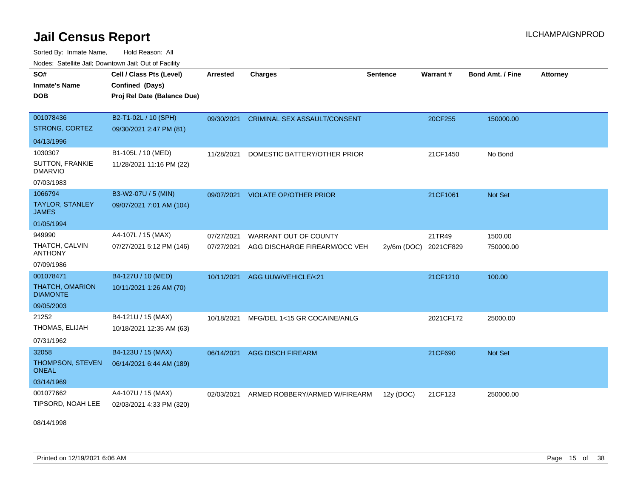Sorted By: Inmate Name, Hold Reason: All

| Nodes: Satellite Jail; Downtown Jail; Out of Facility |                             |            |                                     |                 |           |                  |                 |
|-------------------------------------------------------|-----------------------------|------------|-------------------------------------|-----------------|-----------|------------------|-----------------|
| SO#                                                   | Cell / Class Pts (Level)    | Arrested   | <b>Charges</b>                      | <b>Sentence</b> | Warrant#  | Bond Amt. / Fine | <b>Attorney</b> |
| <b>Inmate's Name</b>                                  | Confined (Days)             |            |                                     |                 |           |                  |                 |
| <b>DOB</b>                                            | Proj Rel Date (Balance Due) |            |                                     |                 |           |                  |                 |
|                                                       |                             |            |                                     |                 |           |                  |                 |
| 001078436                                             | B2-T1-02L / 10 (SPH)        | 09/30/2021 | <b>CRIMINAL SEX ASSAULT/CONSENT</b> |                 | 20CF255   | 150000.00        |                 |
| STRONG, CORTEZ                                        | 09/30/2021 2:47 PM (81)     |            |                                     |                 |           |                  |                 |
| 04/13/1996                                            |                             |            |                                     |                 |           |                  |                 |
| 1030307                                               | B1-105L / 10 (MED)          | 11/28/2021 | DOMESTIC BATTERY/OTHER PRIOR        |                 | 21CF1450  | No Bond          |                 |
| SUTTON, FRANKIE<br><b>DMARVIO</b>                     | 11/28/2021 11:16 PM (22)    |            |                                     |                 |           |                  |                 |
| 07/03/1983                                            |                             |            |                                     |                 |           |                  |                 |
| 1066794                                               | B3-W2-07U / 5 (MIN)         | 09/07/2021 | <b>VIOLATE OP/OTHER PRIOR</b>       |                 | 21CF1061  | Not Set          |                 |
| TAYLOR, STANLEY<br><b>JAMES</b>                       | 09/07/2021 7:01 AM (104)    |            |                                     |                 |           |                  |                 |
| 01/05/1994                                            |                             |            |                                     |                 |           |                  |                 |
| 949990                                                | A4-107L / 15 (MAX)          | 07/27/2021 | WARRANT OUT OF COUNTY               |                 | 21TR49    | 1500.00          |                 |
| THATCH, CALVIN<br><b>ANTHONY</b>                      | 07/27/2021 5:12 PM (146)    | 07/27/2021 | AGG DISCHARGE FIREARM/OCC VEH       | $2y/6m$ (DOC)   | 2021CF829 | 750000.00        |                 |
| 07/09/1986                                            |                             |            |                                     |                 |           |                  |                 |
| 001078471                                             | B4-127U / 10 (MED)          | 10/11/2021 | AGG UUW/VEHICLE/<21                 |                 | 21CF1210  | 100.00           |                 |
| THATCH, OMARION<br><b>DIAMONTE</b>                    | 10/11/2021 1:26 AM (70)     |            |                                     |                 |           |                  |                 |
| 09/05/2003                                            |                             |            |                                     |                 |           |                  |                 |
| 21252                                                 | B4-121U / 15 (MAX)          | 10/18/2021 | MFG/DEL 1<15 GR COCAINE/ANLG        |                 | 2021CF172 | 25000.00         |                 |
| THOMAS, ELIJAH                                        | 10/18/2021 12:35 AM (63)    |            |                                     |                 |           |                  |                 |
| 07/31/1962                                            |                             |            |                                     |                 |           |                  |                 |
| 32058                                                 | B4-123U / 15 (MAX)          | 06/14/2021 | <b>AGG DISCH FIREARM</b>            |                 | 21CF690   | <b>Not Set</b>   |                 |
| THOMPSON, STEVEN<br><b>ONEAL</b>                      | 06/14/2021 6:44 AM (189)    |            |                                     |                 |           |                  |                 |
| 03/14/1969                                            |                             |            |                                     |                 |           |                  |                 |
| 001077662                                             | A4-107U / 15 (MAX)          | 02/03/2021 | ARMED ROBBERY/ARMED W/FIREARM       | 12y (DOC)       | 21CF123   | 250000.00        |                 |
| TIPSORD, NOAH LEE                                     | 02/03/2021 4:33 PM (320)    |            |                                     |                 |           |                  |                 |

08/14/1998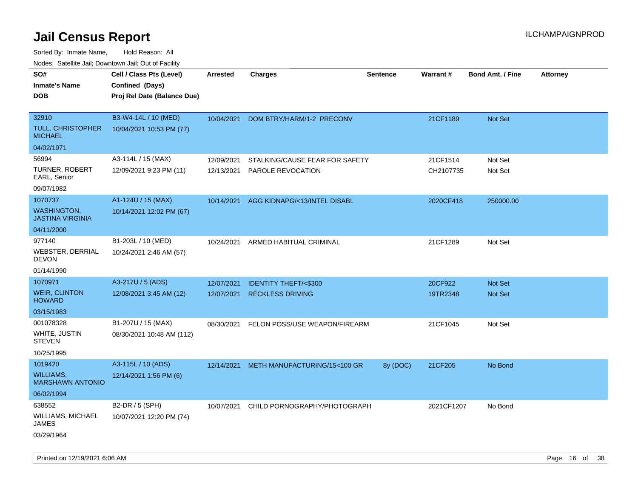| rouco. Calcinic Jan, Downtown Jan, Out of Facility |                             |                 |                                         |                 |                 |                         |                 |
|----------------------------------------------------|-----------------------------|-----------------|-----------------------------------------|-----------------|-----------------|-------------------------|-----------------|
| SO#                                                | Cell / Class Pts (Level)    | <b>Arrested</b> | <b>Charges</b>                          | <b>Sentence</b> | <b>Warrant#</b> | <b>Bond Amt. / Fine</b> | <b>Attorney</b> |
| Inmate's Name                                      | Confined (Days)             |                 |                                         |                 |                 |                         |                 |
| DOB                                                | Proj Rel Date (Balance Due) |                 |                                         |                 |                 |                         |                 |
|                                                    |                             |                 |                                         |                 |                 |                         |                 |
| 32910                                              | B3-W4-14L / 10 (MED)        | 10/04/2021      | DOM BTRY/HARM/1-2 PRECONV               |                 | 21CF1189        | <b>Not Set</b>          |                 |
| TULL, CHRISTOPHER<br>MICHAEL                       | 10/04/2021 10:53 PM (77)    |                 |                                         |                 |                 |                         |                 |
| 04/02/1971                                         |                             |                 |                                         |                 |                 |                         |                 |
| 56994                                              | A3-114L / 15 (MAX)          | 12/09/2021      | STALKING/CAUSE FEAR FOR SAFETY          |                 | 21CF1514        | Not Set                 |                 |
| TURNER, ROBERT<br>EARL, Senior                     | 12/09/2021 9:23 PM (11)     | 12/13/2021      | PAROLE REVOCATION                       |                 | CH2107735       | Not Set                 |                 |
| 09/07/1982                                         |                             |                 |                                         |                 |                 |                         |                 |
| 1070737                                            | A1-124U / 15 (MAX)          | 10/14/2021      | AGG KIDNAPG/<13/INTEL DISABL            |                 | 2020CF418       | 250000.00               |                 |
| <b>WASHINGTON,</b><br><b>JASTINA VIRGINIA</b>      | 10/14/2021 12:02 PM (67)    |                 |                                         |                 |                 |                         |                 |
| 04/11/2000                                         |                             |                 |                                         |                 |                 |                         |                 |
| 977140                                             | B1-203L / 10 (MED)          | 10/24/2021      | ARMED HABITUAL CRIMINAL                 |                 | 21CF1289        | Not Set                 |                 |
| WEBSTER, DERRIAL<br>DEVON                          | 10/24/2021 2:46 AM (57)     |                 |                                         |                 |                 |                         |                 |
| 01/14/1990                                         |                             |                 |                                         |                 |                 |                         |                 |
| 1070971                                            | A3-217U / 5 (ADS)           | 12/07/2021      | <b>IDENTITY THEFT/&lt;\$300</b>         |                 | 20CF922         | <b>Not Set</b>          |                 |
| <b>WEIR, CLINTON</b><br><b>HOWARD</b>              | 12/08/2021 3:45 AM (12)     | 12/07/2021      | <b>RECKLESS DRIVING</b>                 |                 | 19TR2348        | <b>Not Set</b>          |                 |
| 03/15/1983                                         |                             |                 |                                         |                 |                 |                         |                 |
| 001078328                                          | B1-207U / 15 (MAX)          | 08/30/2021      | FELON POSS/USE WEAPON/FIREARM           |                 | 21CF1045        | Not Set                 |                 |
| WHITE, JUSTIN<br>STEVEN                            | 08/30/2021 10:48 AM (112)   |                 |                                         |                 |                 |                         |                 |
| 10/25/1995                                         |                             |                 |                                         |                 |                 |                         |                 |
| 1019420                                            | A3-115L / 10 (ADS)          |                 | 12/14/2021 METH MANUFACTURING/15<100 GR | 8y (DOC)        | 21CF205         | No Bond                 |                 |
| WILLIAMS,<br><b>MARSHAWN ANTONIO</b>               | 12/14/2021 1:56 PM (6)      |                 |                                         |                 |                 |                         |                 |
| 06/02/1994                                         |                             |                 |                                         |                 |                 |                         |                 |
| 638552                                             | B2-DR / 5 (SPH)             | 10/07/2021      | CHILD PORNOGRAPHY/PHOTOGRAPH            |                 | 2021CF1207      | No Bond                 |                 |
| WILLIAMS, MICHAEL<br>JAMES                         | 10/07/2021 12:20 PM (74)    |                 |                                         |                 |                 |                         |                 |
| 03/29/1964                                         |                             |                 |                                         |                 |                 |                         |                 |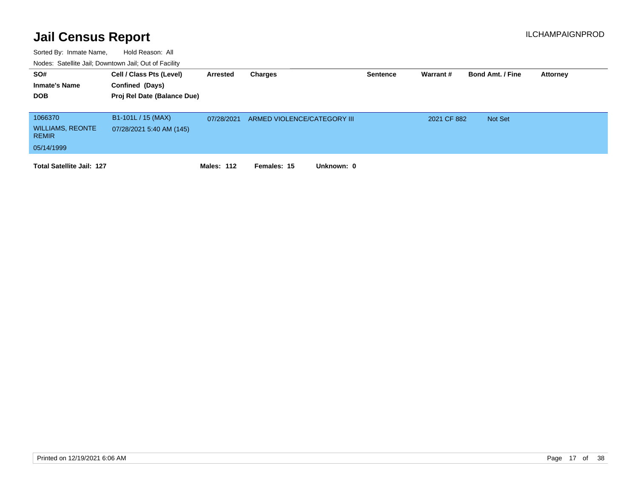| SO#<br><b>Inmate's Name</b><br><b>DOB</b>                        | Cell / Class Pts (Level)<br>Confined (Days)<br>Proj Rel Date (Balance Due) | Arrested   | Charges                     | <b>Sentence</b> | Warrant#    | <b>Bond Amt. / Fine</b> | <b>Attorney</b> |
|------------------------------------------------------------------|----------------------------------------------------------------------------|------------|-----------------------------|-----------------|-------------|-------------------------|-----------------|
| 1066370<br><b>WILLIAMS, REONTE</b><br><b>REMIR</b><br>05/14/1999 | B1-101L / 15 (MAX)<br>07/28/2021 5:40 AM (145)                             | 07/28/2021 | ARMED VIOLENCE/CATEGORY III |                 | 2021 CF 882 | <b>Not Set</b>          |                 |
| <b>Total Satellite Jail: 127</b>                                 |                                                                            | Males: 112 | Females: 15<br>Unknown: 0   |                 |             |                         |                 |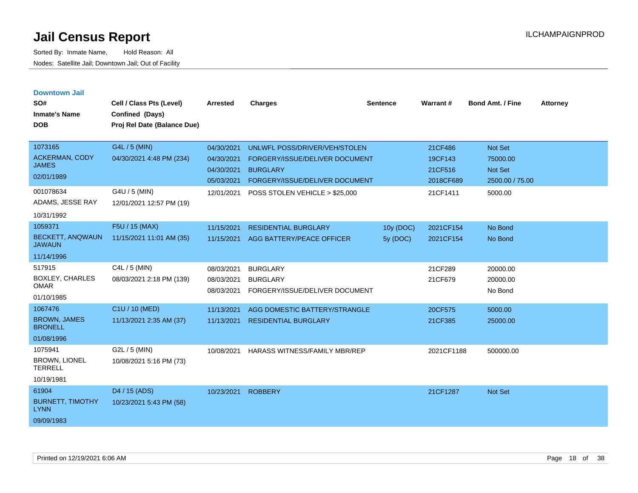| <b>Downtown Jail</b><br>SO#<br><b>Inmate's Name</b><br><b>DOB</b> | Cell / Class Pts (Level)<br>Confined (Days)<br>Proj Rel Date (Balance Due) | <b>Arrested</b>                        | <b>Charges</b>                                                       | <b>Sentence</b> | Warrant#             | <b>Bond Amt. / Fine</b>         | <b>Attorney</b> |
|-------------------------------------------------------------------|----------------------------------------------------------------------------|----------------------------------------|----------------------------------------------------------------------|-----------------|----------------------|---------------------------------|-----------------|
| 1073165                                                           | G4L / 5 (MIN)                                                              | 04/30/2021                             | UNLWFL POSS/DRIVER/VEH/STOLEN                                        |                 | 21CF486              | Not Set                         |                 |
| <b>ACKERMAN, CODY</b><br><b>JAMES</b>                             | 04/30/2021 4:48 PM (234)                                                   | 04/30/2021                             | FORGERY/ISSUE/DELIVER DOCUMENT                                       |                 | 19CF143              | 75000.00                        |                 |
| 02/01/1989                                                        |                                                                            | 04/30/2021<br>05/03/2021               | <b>BURGLARY</b><br>FORGERY/ISSUE/DELIVER DOCUMENT                    |                 | 21CF516<br>2018CF689 | Not Set<br>2500.00 / 75.00      |                 |
| 001078634<br>ADAMS, JESSE RAY<br>10/31/1992                       | G4U / 5 (MIN)<br>12/01/2021 12:57 PM (19)                                  | 12/01/2021                             | POSS STOLEN VEHICLE > \$25,000                                       |                 | 21CF1411             | 5000.00                         |                 |
| 1059371                                                           | F5U / 15 (MAX)                                                             | 11/15/2021                             | <b>RESIDENTIAL BURGLARY</b>                                          | 10y (DOC)       | 2021CF154            | No Bond                         |                 |
| <b>BECKETT, ANQWAUN</b><br><b>JAWAUN</b>                          | 11/15/2021 11:01 AM (35)                                                   | 11/15/2021                             | AGG BATTERY/PEACE OFFICER                                            | 5y (DOC)        | 2021CF154            | No Bond                         |                 |
| 11/14/1996                                                        |                                                                            |                                        |                                                                      |                 |                      |                                 |                 |
| 517915<br><b>BOXLEY, CHARLES</b><br><b>OMAR</b><br>01/10/1985     | C4L / 5 (MIN)<br>08/03/2021 2:18 PM (139)                                  | 08/03/2021<br>08/03/2021<br>08/03/2021 | <b>BURGLARY</b><br><b>BURGLARY</b><br>FORGERY/ISSUE/DELIVER DOCUMENT |                 | 21CF289<br>21CF679   | 20000.00<br>20000.00<br>No Bond |                 |
| 1067476                                                           | C1U / 10 (MED)                                                             | 11/13/2021                             | AGG DOMESTIC BATTERY/STRANGLE                                        |                 | 20CF575              | 5000.00                         |                 |
| <b>BROWN, JAMES</b><br><b>BRONELL</b>                             | 11/13/2021 2:35 AM (37)                                                    | 11/13/2021                             | <b>RESIDENTIAL BURGLARY</b>                                          |                 | 21CF385              | 25000.00                        |                 |
| 01/08/1996                                                        |                                                                            |                                        |                                                                      |                 |                      |                                 |                 |
| 1075941<br><b>BROWN, LIONEL</b><br><b>TERRELL</b>                 | G2L / 5 (MIN)<br>10/08/2021 5:16 PM (73)                                   | 10/08/2021                             | <b>HARASS WITNESS/FAMILY MBR/REP</b>                                 |                 | 2021CF1188           | 500000.00                       |                 |
| 10/19/1981                                                        |                                                                            |                                        |                                                                      |                 |                      |                                 |                 |
| 61904<br><b>BURNETT, TIMOTHY</b><br><b>LYNN</b><br>09/09/1983     | D4 / 15 (ADS)<br>10/23/2021 5:43 PM (58)                                   | 10/23/2021                             | <b>ROBBERY</b>                                                       |                 | 21CF1287             | Not Set                         |                 |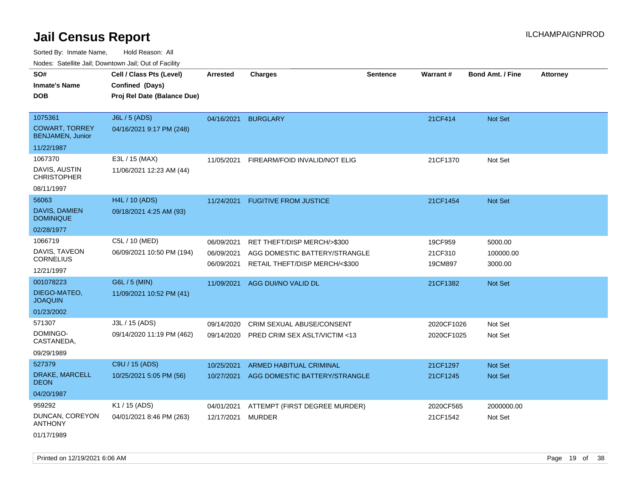Sorted By: Inmate Name, Hold Reason: All Nodes: Satellite Jail; Downtown Jail; Out of Facility

| voues. Saleline Jali, Downtown Jali, Out of Facility |                             |                 |                                |                 |            |                         |                 |
|------------------------------------------------------|-----------------------------|-----------------|--------------------------------|-----------------|------------|-------------------------|-----------------|
| SO#                                                  | Cell / Class Pts (Level)    | <b>Arrested</b> | <b>Charges</b>                 | <b>Sentence</b> | Warrant#   | <b>Bond Amt. / Fine</b> | <b>Attorney</b> |
| <b>Inmate's Name</b>                                 | Confined (Days)             |                 |                                |                 |            |                         |                 |
| DOB                                                  | Proj Rel Date (Balance Due) |                 |                                |                 |            |                         |                 |
|                                                      |                             |                 |                                |                 |            |                         |                 |
| 1075361                                              | J6L / 5 (ADS)               | 04/16/2021      | <b>BURGLARY</b>                |                 | 21CF414    | Not Set                 |                 |
| <b>COWART, TORREY</b><br><b>BENJAMEN, Junior</b>     | 04/16/2021 9:17 PM (248)    |                 |                                |                 |            |                         |                 |
| 11/22/1987                                           |                             |                 |                                |                 |            |                         |                 |
| 1067370                                              | E3L / 15 (MAX)              | 11/05/2021      | FIREARM/FOID INVALID/NOT ELIG  |                 | 21CF1370   | Not Set                 |                 |
| DAVIS, AUSTIN<br><b>CHRISTOPHER</b>                  | 11/06/2021 12:23 AM (44)    |                 |                                |                 |            |                         |                 |
| 08/11/1997                                           |                             |                 |                                |                 |            |                         |                 |
| 56063                                                | H4L / 10 (ADS)              | 11/24/2021      | <b>FUGITIVE FROM JUSTICE</b>   |                 | 21CF1454   | Not Set                 |                 |
| <b>DAVIS, DAMIEN</b><br><b>DOMINIQUE</b>             | 09/18/2021 4:25 AM (93)     |                 |                                |                 |            |                         |                 |
| 02/28/1977                                           |                             |                 |                                |                 |            |                         |                 |
| 1066719                                              | C5L / 10 (MED)              | 06/09/2021      | RET THEFT/DISP MERCH/>\$300    |                 | 19CF959    | 5000.00                 |                 |
| DAVIS, TAVEON                                        | 06/09/2021 10:50 PM (194)   | 06/09/2021      | AGG DOMESTIC BATTERY/STRANGLE  |                 | 21CF310    | 100000.00               |                 |
| <b>CORNELIUS</b>                                     |                             | 06/09/2021      | RETAIL THEFT/DISP MERCH/<\$300 |                 | 19CM897    | 3000.00                 |                 |
| 12/21/1997                                           |                             |                 |                                |                 |            |                         |                 |
| 001078223                                            | G6L / 5 (MIN)               | 11/09/2021      | AGG DUI/NO VALID DL            |                 | 21CF1382   | <b>Not Set</b>          |                 |
| DIEGO-MATEO,<br><b>JOAQUIN</b>                       | 11/09/2021 10:52 PM (41)    |                 |                                |                 |            |                         |                 |
| 01/23/2002                                           |                             |                 |                                |                 |            |                         |                 |
| 571307                                               | J3L / 15 (ADS)              | 09/14/2020      | CRIM SEXUAL ABUSE/CONSENT      |                 | 2020CF1026 | Not Set                 |                 |
| DOMINGO-<br>CASTANEDA,                               | 09/14/2020 11:19 PM (462)   | 09/14/2020      | PRED CRIM SEX ASLT/VICTIM <13  |                 | 2020CF1025 | Not Set                 |                 |
| 09/29/1989                                           |                             |                 |                                |                 |            |                         |                 |
| 527379                                               | C9U / 15 (ADS)              | 10/25/2021      | <b>ARMED HABITUAL CRIMINAL</b> |                 | 21CF1297   | <b>Not Set</b>          |                 |
| DRAKE, MARCELL<br>DEON                               | 10/25/2021 5:05 PM (56)     | 10/27/2021      | AGG DOMESTIC BATTERY/STRANGLE  |                 | 21CF1245   | Not Set                 |                 |
| 04/20/1987                                           |                             |                 |                                |                 |            |                         |                 |
| 959292                                               | K1 / 15 (ADS)               | 04/01/2021      | ATTEMPT (FIRST DEGREE MURDER)  |                 | 2020CF565  | 2000000.00              |                 |
| DUNCAN, COREYON<br>ANTHONY                           | 04/01/2021 8:46 PM (263)    | 12/17/2021      | <b>MURDER</b>                  |                 | 21CF1542   | Not Set                 |                 |

01/17/1989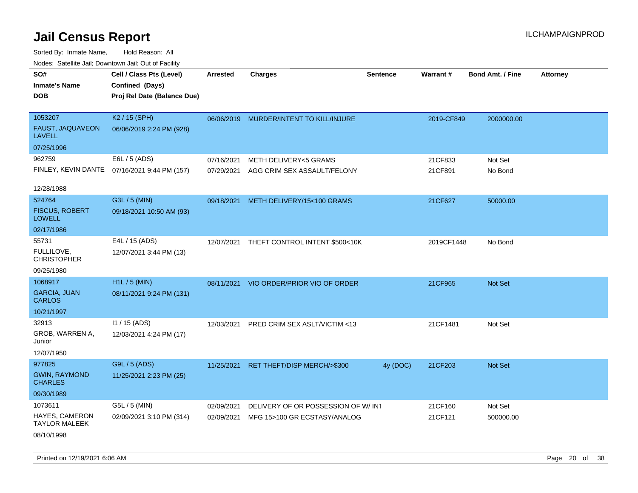| Todoo. Catolino can, Bowritown can, Oat or I domt   |                                                                            |                 |                                    |                 |            |                         |                 |
|-----------------------------------------------------|----------------------------------------------------------------------------|-----------------|------------------------------------|-----------------|------------|-------------------------|-----------------|
| SO#<br><b>Inmate's Name</b><br><b>DOB</b>           | Cell / Class Pts (Level)<br>Confined (Days)<br>Proj Rel Date (Balance Due) | <b>Arrested</b> | <b>Charges</b>                     | <b>Sentence</b> | Warrant#   | <b>Bond Amt. / Fine</b> | <b>Attorney</b> |
| 1053207<br><b>FAUST, JAQUAVEON</b><br><b>LAVELL</b> | K2 / 15 (SPH)<br>06/06/2019 2:24 PM (928)                                  | 06/06/2019      | MURDER/INTENT TO KILL/INJURE       |                 | 2019-CF849 | 2000000.00              |                 |
| 07/25/1996                                          |                                                                            |                 |                                    |                 |            |                         |                 |
| 962759                                              | E6L / 5 (ADS)                                                              | 07/16/2021      | <b>METH DELIVERY&lt;5 GRAMS</b>    |                 | 21CF833    | Not Set                 |                 |
|                                                     | FINLEY, KEVIN DANTE 07/16/2021 9:44 PM (157)                               | 07/29/2021      | AGG CRIM SEX ASSAULT/FELONY        |                 | 21CF891    | No Bond                 |                 |
| 12/28/1988                                          |                                                                            |                 |                                    |                 |            |                         |                 |
| 524764                                              | G3L / 5 (MIN)                                                              | 09/18/2021      | METH DELIVERY/15<100 GRAMS         |                 | 21CF627    | 50000.00                |                 |
| <b>FISCUS, ROBERT</b><br><b>LOWELL</b>              | 09/18/2021 10:50 AM (93)                                                   |                 |                                    |                 |            |                         |                 |
| 02/17/1986                                          |                                                                            |                 |                                    |                 |            |                         |                 |
| 55731<br>FULLILOVE,<br><b>CHRISTOPHER</b>           | E4L / 15 (ADS)<br>12/07/2021 3:44 PM (13)                                  | 12/07/2021      | THEFT CONTROL INTENT \$500<10K     |                 | 2019CF1448 | No Bond                 |                 |
| 09/25/1980                                          |                                                                            |                 |                                    |                 |            |                         |                 |
| 1068917                                             | H <sub>1</sub> L / 5 (MIN)                                                 | 08/11/2021      | VIO ORDER/PRIOR VIO OF ORDER       |                 | 21CF965    | Not Set                 |                 |
| <b>GARCIA, JUAN</b><br><b>CARLOS</b>                | 08/11/2021 9:24 PM (131)                                                   |                 |                                    |                 |            |                         |                 |
| 10/21/1997                                          |                                                                            |                 |                                    |                 |            |                         |                 |
| 32913                                               | 11 / 15 (ADS)                                                              | 12/03/2021      | PRED CRIM SEX ASLT/VICTIM <13      |                 | 21CF1481   | Not Set                 |                 |
| GROB, WARREN A,<br>Junior                           | 12/03/2021 4:24 PM (17)                                                    |                 |                                    |                 |            |                         |                 |
| 12/07/1950                                          |                                                                            |                 |                                    |                 |            |                         |                 |
| 977825                                              | G9L / 5 (ADS)                                                              | 11/25/2021      | RET THEFT/DISP MERCH/>\$300        | 4y (DOC)        | 21CF203    | Not Set                 |                 |
| <b>GWIN, RAYMOND</b><br><b>CHARLES</b>              | 11/25/2021 2:23 PM (25)                                                    |                 |                                    |                 |            |                         |                 |
| 09/30/1989                                          |                                                                            |                 |                                    |                 |            |                         |                 |
| 1073611                                             | G5L / 5 (MIN)                                                              | 02/09/2021      | DELIVERY OF OR POSSESSION OF W/INT |                 | 21CF160    | Not Set                 |                 |
| HAYES, CAMERON<br><b>TAYLOR MALEEK</b>              | 02/09/2021 3:10 PM (314)                                                   | 02/09/2021      | MFG 15>100 GR ECSTASY/ANALOG       |                 | 21CF121    | 500000.00               |                 |
| 08/10/1998                                          |                                                                            |                 |                                    |                 |            |                         |                 |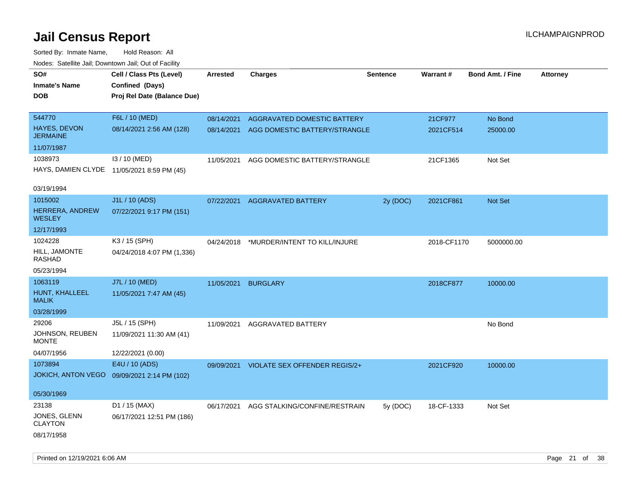| SO#<br><b>Inmate's Name</b><br>DOB         | Cell / Class Pts (Level)<br>Confined (Days)<br>Proj Rel Date (Balance Due) | Arrested   | <b>Charges</b>                | <b>Sentence</b> | <b>Warrant#</b> | <b>Bond Amt. / Fine</b> | Attorney |
|--------------------------------------------|----------------------------------------------------------------------------|------------|-------------------------------|-----------------|-----------------|-------------------------|----------|
| 544770                                     | F6L / 10 (MED)                                                             | 08/14/2021 | AGGRAVATED DOMESTIC BATTERY   |                 | 21CF977         | No Bond                 |          |
| <b>HAYES, DEVON</b><br><b>JERMAINE</b>     | 08/14/2021 2:56 AM (128)                                                   | 08/14/2021 | AGG DOMESTIC BATTERY/STRANGLE |                 | 2021CF514       | 25000.00                |          |
| 11/07/1987                                 |                                                                            |            |                               |                 |                 |                         |          |
| 1038973                                    | I3 / 10 (MED)                                                              | 11/05/2021 | AGG DOMESTIC BATTERY/STRANGLE |                 | 21CF1365        | Not Set                 |          |
| HAYS, DAMIEN CLYDE 11/05/2021 8:59 PM (45) |                                                                            |            |                               |                 |                 |                         |          |
| 03/19/1994                                 |                                                                            |            |                               |                 |                 |                         |          |
| 1015002                                    | J1L / 10 (ADS)                                                             | 07/22/2021 | <b>AGGRAVATED BATTERY</b>     | 2y (DOC)        | 2021CF861       | Not Set                 |          |
| HERRERA, ANDREW<br><b>WESLEY</b>           | 07/22/2021 9:17 PM (151)                                                   |            |                               |                 |                 |                         |          |
| 12/17/1993                                 |                                                                            |            |                               |                 |                 |                         |          |
| 1024228                                    | K3 / 15 (SPH)                                                              | 04/24/2018 | *MURDER/INTENT TO KILL/INJURE |                 | 2018-CF1170     | 5000000.00              |          |
| HILL, JAMONTE<br>RASHAD                    | 04/24/2018 4:07 PM (1,336)                                                 |            |                               |                 |                 |                         |          |
| 05/23/1994                                 |                                                                            |            |                               |                 |                 |                         |          |
| 1063119                                    | J7L / 10 (MED)                                                             | 11/05/2021 | <b>BURGLARY</b>               |                 | 2018CF877       | 10000.00                |          |
| HUNT, KHALLEEL<br><b>MALIK</b>             | 11/05/2021 7:47 AM (45)                                                    |            |                               |                 |                 |                         |          |
| 03/28/1999                                 |                                                                            |            |                               |                 |                 |                         |          |
| 29206                                      | J5L / 15 (SPH)                                                             | 11/09/2021 | AGGRAVATED BATTERY            |                 |                 | No Bond                 |          |
| JOHNSON, REUBEN<br>MONTE                   | 11/09/2021 11:30 AM (41)                                                   |            |                               |                 |                 |                         |          |
| 04/07/1956                                 | 12/22/2021 (0.00)                                                          |            |                               |                 |                 |                         |          |
| 1073894                                    | E4U / 10 (ADS)                                                             | 09/09/2021 | VIOLATE SEX OFFENDER REGIS/2+ |                 | 2021CF920       | 10000.00                |          |
| <b>JOKICH, ANTON VEGO</b>                  | 09/09/2021 2:14 PM (102)                                                   |            |                               |                 |                 |                         |          |
| 05/30/1969                                 |                                                                            |            |                               |                 |                 |                         |          |
| 23138                                      | D1 / 15 (MAX)                                                              | 06/17/2021 | AGG STALKING/CONFINE/RESTRAIN | 5y (DOC)        | 18-CF-1333      | Not Set                 |          |
| JONES, GLENN<br><b>CLAYTON</b>             | 06/17/2021 12:51 PM (186)                                                  |            |                               |                 |                 |                         |          |
| 08/17/1958                                 |                                                                            |            |                               |                 |                 |                         |          |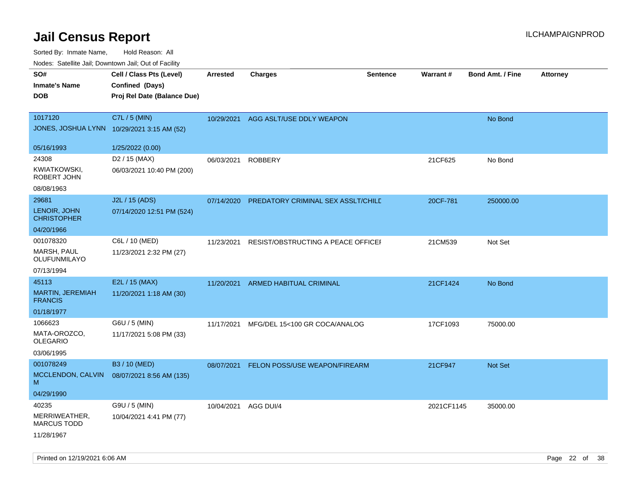| SO#                                 | Cell / Class Pts (Level)    | <b>Arrested</b> | <b>Charges</b>                     | <b>Sentence</b> | Warrant#   | <b>Bond Amt. / Fine</b> | <b>Attorney</b> |
|-------------------------------------|-----------------------------|-----------------|------------------------------------|-----------------|------------|-------------------------|-----------------|
| <b>Inmate's Name</b>                | Confined (Days)             |                 |                                    |                 |            |                         |                 |
| <b>DOB</b>                          | Proj Rel Date (Balance Due) |                 |                                    |                 |            |                         |                 |
|                                     |                             |                 |                                    |                 |            |                         |                 |
| 1017120                             | C7L / 5 (MIN)               |                 |                                    |                 |            |                         |                 |
| JONES, JOSHUA LYNN                  |                             | 10/29/2021      | AGG ASLT/USE DDLY WEAPON           |                 |            | No Bond                 |                 |
|                                     | 10/29/2021 3:15 AM (52)     |                 |                                    |                 |            |                         |                 |
| 05/16/1993                          | 1/25/2022 (0.00)            |                 |                                    |                 |            |                         |                 |
| 24308                               | D <sub>2</sub> / 15 (MAX)   | 06/03/2021      | <b>ROBBERY</b>                     |                 | 21CF625    | No Bond                 |                 |
| KWIATKOWSKI,                        | 06/03/2021 10:40 PM (200)   |                 |                                    |                 |            |                         |                 |
| ROBERT JOHN                         |                             |                 |                                    |                 |            |                         |                 |
| 08/08/1963                          |                             |                 |                                    |                 |            |                         |                 |
| 29681                               | J2L / 15 (ADS)              | 07/14/2020      | PREDATORY CRIMINAL SEX ASSLT/CHILD |                 | 20CF-781   | 250000.00               |                 |
| LENOIR, JOHN<br><b>CHRISTOPHER</b>  | 07/14/2020 12:51 PM (524)   |                 |                                    |                 |            |                         |                 |
| 04/20/1966                          |                             |                 |                                    |                 |            |                         |                 |
| 001078320                           | C6L / 10 (MED)              | 11/23/2021      | RESIST/OBSTRUCTING A PEACE OFFICEF |                 | 21CM539    | Not Set                 |                 |
| MARSH, PAUL<br>OLUFUNMILAYO         | 11/23/2021 2:32 PM (27)     |                 |                                    |                 |            |                         |                 |
| 07/13/1994                          |                             |                 |                                    |                 |            |                         |                 |
| 45113                               | E2L / 15 (MAX)              | 11/20/2021      | ARMED HABITUAL CRIMINAL            |                 | 21CF1424   | No Bond                 |                 |
| MARTIN, JEREMIAH<br><b>FRANCIS</b>  | 11/20/2021 1:18 AM (30)     |                 |                                    |                 |            |                         |                 |
| 01/18/1977                          |                             |                 |                                    |                 |            |                         |                 |
| 1066623                             | G6U / 5 (MIN)               | 11/17/2021      | MFG/DEL 15<100 GR COCA/ANALOG      |                 | 17CF1093   | 75000.00                |                 |
| MATA-OROZCO,                        | 11/17/2021 5:08 PM (33)     |                 |                                    |                 |            |                         |                 |
| <b>OLEGARIO</b>                     |                             |                 |                                    |                 |            |                         |                 |
| 03/06/1995                          |                             |                 |                                    |                 |            |                         |                 |
| 001078249                           | B3 / 10 (MED)               | 08/07/2021      | FELON POSS/USE WEAPON/FIREARM      |                 | 21CF947    | Not Set                 |                 |
| MCCLENDON, CALVIN<br>M              | 08/07/2021 8:56 AM (135)    |                 |                                    |                 |            |                         |                 |
| 04/29/1990                          |                             |                 |                                    |                 |            |                         |                 |
| 40235                               | G9U / 5 (MIN)               | 10/04/2021      | AGG DUI/4                          |                 | 2021CF1145 | 35000.00                |                 |
| MERRIWEATHER,<br><b>MARCUS TODD</b> | 10/04/2021 4:41 PM (77)     |                 |                                    |                 |            |                         |                 |
| 11/28/1967                          |                             |                 |                                    |                 |            |                         |                 |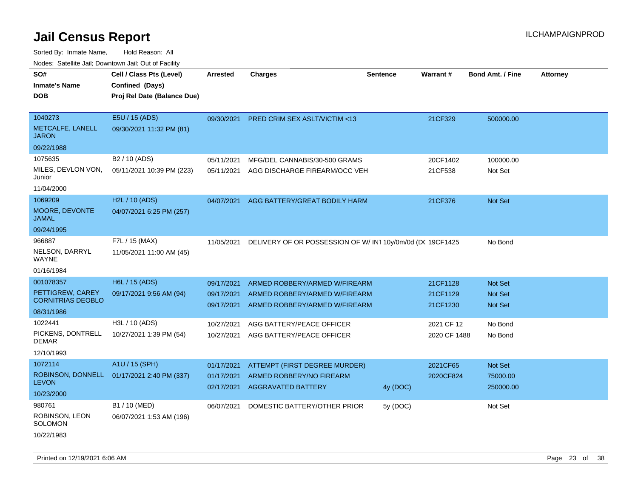| rouco. Calcinic Jan, Downtown Jan, Out of Facility                                                                             |                                                                                        |                                                                    |                                                                                                                                                           |                 |                                                                |                                                                          |                 |
|--------------------------------------------------------------------------------------------------------------------------------|----------------------------------------------------------------------------------------|--------------------------------------------------------------------|-----------------------------------------------------------------------------------------------------------------------------------------------------------|-----------------|----------------------------------------------------------------|--------------------------------------------------------------------------|-----------------|
| SO#<br>Inmate's Name<br><b>DOB</b>                                                                                             | Cell / Class Pts (Level)<br>Confined (Days)<br>Proj Rel Date (Balance Due)             | <b>Arrested</b>                                                    | <b>Charges</b>                                                                                                                                            | <b>Sentence</b> | <b>Warrant#</b>                                                | <b>Bond Amt. / Fine</b>                                                  | <b>Attorney</b> |
| 1040273<br>METCALFE, LANELL<br>JARON<br>09/22/1988                                                                             | E5U / 15 (ADS)<br>09/30/2021 11:32 PM (81)                                             | 09/30/2021                                                         | PRED CRIM SEX ASLT/VICTIM <13                                                                                                                             |                 | 21CF329                                                        | 500000.00                                                                |                 |
| 1075635<br>MILES, DEVLON VON,<br>Junior<br>11/04/2000                                                                          | B <sub>2</sub> / 10 (ADS)<br>05/11/2021 10:39 PM (223)                                 | 05/11/2021<br>05/11/2021                                           | MFG/DEL CANNABIS/30-500 GRAMS<br>AGG DISCHARGE FIREARM/OCC VEH                                                                                            |                 | 20CF1402<br>21CF538                                            | 100000.00<br>Not Set                                                     |                 |
| 1069209<br>MOORE, DEVONTE<br>JAMAL<br>09/24/1995                                                                               | H2L / 10 (ADS)<br>04/07/2021 6:25 PM (257)                                             | 04/07/2021                                                         | AGG BATTERY/GREAT BODILY HARM                                                                                                                             |                 | 21CF376                                                        | Not Set                                                                  |                 |
| 966887<br>NELSON, DARRYL<br>WAYNE<br>01/16/1984                                                                                | F7L / 15 (MAX)<br>11/05/2021 11:00 AM (45)                                             | 11/05/2021                                                         | DELIVERY OF OR POSSESSION OF W/IN110y/0m/0d (DC 19CF1425                                                                                                  |                 |                                                                | No Bond                                                                  |                 |
| 001078357<br>PETTIGREW, CAREY<br><b>CORNITRIAS DEOBLO</b><br>08/31/1986<br>1022441<br>PICKENS, DONTRELL<br>DEMAR<br>12/10/1993 | H6L / 15 (ADS)<br>09/17/2021 9:56 AM (94)<br>H3L / 10 (ADS)<br>10/27/2021 1:39 PM (54) | 09/17/2021<br>09/17/2021<br>09/17/2021<br>10/27/2021<br>10/27/2021 | ARMED ROBBERY/ARMED W/FIREARM<br>ARMED ROBBERY/ARMED W/FIREARM<br>ARMED ROBBERY/ARMED W/FIREARM<br>AGG BATTERY/PEACE OFFICER<br>AGG BATTERY/PEACE OFFICER |                 | 21CF1128<br>21CF1129<br>21CF1230<br>2021 CF 12<br>2020 CF 1488 | <b>Not Set</b><br><b>Not Set</b><br><b>Not Set</b><br>No Bond<br>No Bond |                 |
| 1072114<br>LEVON<br>10/23/2000                                                                                                 | A1U / 15 (SPH)<br>ROBINSON, DONNELL 01/17/2021 2:40 PM (337)                           | 01/17/2021<br>01/17/2021<br>02/17/2021                             | ATTEMPT (FIRST DEGREE MURDER)<br>ARMED ROBBERY/NO FIREARM<br><b>AGGRAVATED BATTERY</b>                                                                    | 4y (DOC)        | 2021CF65<br>2020CF824                                          | Not Set<br>75000.00<br>250000.00                                         |                 |
| 980761<br>ROBINSON, LEON<br>SOLOMON<br>10/22/1983                                                                              | B1 / 10 (MED)<br>06/07/2021 1:53 AM (196)                                              | 06/07/2021                                                         | DOMESTIC BATTERY/OTHER PRIOR                                                                                                                              | 5y (DOC)        |                                                                | Not Set                                                                  |                 |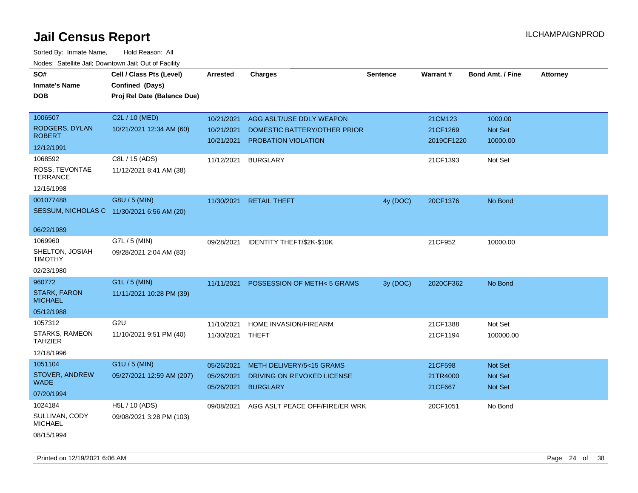| rougs. Calcinic Jan, Downtown Jan, Out of Facility |                                            |                  |                                      |                 |            |                         |                 |
|----------------------------------------------------|--------------------------------------------|------------------|--------------------------------------|-----------------|------------|-------------------------|-----------------|
| SO#                                                | Cell / Class Pts (Level)                   | <b>Arrested</b>  | <b>Charges</b>                       | <b>Sentence</b> | Warrant#   | <b>Bond Amt. / Fine</b> | <b>Attorney</b> |
| <b>Inmate's Name</b>                               | Confined (Days)                            |                  |                                      |                 |            |                         |                 |
| <b>DOB</b>                                         | Proj Rel Date (Balance Due)                |                  |                                      |                 |            |                         |                 |
|                                                    |                                            |                  |                                      |                 |            |                         |                 |
| 1006507                                            | C2L / 10 (MED)                             | 10/21/2021       | AGG ASLT/USE DDLY WEAPON             |                 | 21CM123    | 1000.00                 |                 |
| RODGERS, DYLAN                                     | 10/21/2021 12:34 AM (60)                   | 10/21/2021       | DOMESTIC BATTERY/OTHER PRIOR         |                 | 21CF1269   | Not Set                 |                 |
| <b>ROBERT</b>                                      |                                            | 10/21/2021       | PROBATION VIOLATION                  |                 | 2019CF1220 | 10000.00                |                 |
| 12/12/1991                                         |                                            |                  |                                      |                 |            |                         |                 |
| 1068592                                            | C8L / 15 (ADS)                             | 11/12/2021       | <b>BURGLARY</b>                      |                 | 21CF1393   | Not Set                 |                 |
| ROSS, TEVONTAE<br><b>TERRANCE</b>                  | 11/12/2021 8:41 AM (38)                    |                  |                                      |                 |            |                         |                 |
| 12/15/1998                                         |                                            |                  |                                      |                 |            |                         |                 |
| 001077488                                          | G8U / 5 (MIN)                              |                  | 11/30/2021 RETAIL THEFT              | 4y (DOC)        | 20CF1376   | No Bond                 |                 |
|                                                    | SESSUM, NICHOLAS C 11/30/2021 6:56 AM (20) |                  |                                      |                 |            |                         |                 |
| 06/22/1989                                         |                                            |                  |                                      |                 |            |                         |                 |
| 1069960                                            | G7L / 5 (MIN)                              | 09/28/2021       | IDENTITY THEFT/\$2K-\$10K            |                 | 21CF952    | 10000.00                |                 |
| SHELTON, JOSIAH<br><b>TIMOTHY</b>                  | 09/28/2021 2:04 AM (83)                    |                  |                                      |                 |            |                         |                 |
| 02/23/1980                                         |                                            |                  |                                      |                 |            |                         |                 |
| 960772                                             | G1L / 5 (MIN)                              | 11/11/2021       | <b>POSSESSION OF METH&lt;5 GRAMS</b> | 3y (DOC)        | 2020CF362  | No Bond                 |                 |
| <b>STARK, FARON</b><br><b>MICHAEL</b>              | 11/11/2021 10:28 PM (39)                   |                  |                                      |                 |            |                         |                 |
| 05/12/1988                                         |                                            |                  |                                      |                 |            |                         |                 |
| 1057312                                            | G <sub>2U</sub>                            | 11/10/2021       | HOME INVASION/FIREARM                |                 | 21CF1388   | Not Set                 |                 |
| STARKS, RAMEON<br><b>TAHZIER</b>                   | 11/10/2021 9:51 PM (40)                    | 11/30/2021 THEFT |                                      |                 | 21CF1194   | 100000.00               |                 |
| 12/18/1996                                         |                                            |                  |                                      |                 |            |                         |                 |
| 1051104                                            | $G1U / 5$ (MIN)                            | 05/26/2021       | METH DELIVERY/5<15 GRAMS             |                 | 21CF598    | Not Set                 |                 |
| STOVER, ANDREW<br><b>WADE</b>                      | 05/27/2021 12:59 AM (207)                  | 05/26/2021       | DRIVING ON REVOKED LICENSE           |                 | 21TR4000   | Not Set                 |                 |
| 07/20/1994                                         |                                            | 05/26/2021       | <b>BURGLARY</b>                      |                 | 21CF667    | <b>Not Set</b>          |                 |
| 1024184                                            | H5L / 10 (ADS)                             | 09/08/2021       | AGG ASLT PEACE OFF/FIRE/ER WRK       |                 | 20CF1051   | No Bond                 |                 |
| SULLIVAN, CODY<br><b>MICHAEL</b>                   | 09/08/2021 3:28 PM (103)                   |                  |                                      |                 |            |                         |                 |
| 08/15/1994                                         |                                            |                  |                                      |                 |            |                         |                 |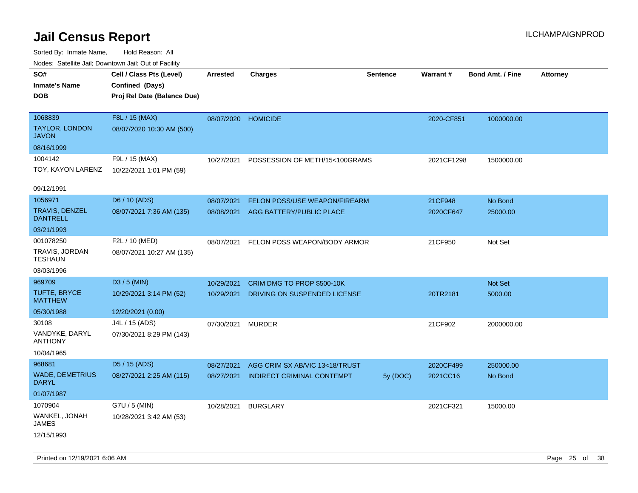| SO#<br><b>Inmate's Name</b><br><b>DOB</b>        | Cell / Class Pts (Level)<br>Confined (Days)<br>Proj Rel Date (Balance Due) | <b>Arrested</b> | <b>Charges</b>                    | <b>Sentence</b> | Warrant#   | <b>Bond Amt. / Fine</b> | <b>Attorney</b> |
|--------------------------------------------------|----------------------------------------------------------------------------|-----------------|-----------------------------------|-----------------|------------|-------------------------|-----------------|
| 1068839<br><b>TAYLOR, LONDON</b><br><b>JAVON</b> | F8L / 15 (MAX)<br>08/07/2020 10:30 AM (500)                                | 08/07/2020      | <b>HOMICIDE</b>                   |                 | 2020-CF851 | 1000000.00              |                 |
| 08/16/1999                                       |                                                                            |                 |                                   |                 |            |                         |                 |
| 1004142<br>TOY, KAYON LARENZ                     | F9L / 15 (MAX)<br>10/22/2021 1:01 PM (59)                                  | 10/27/2021      | POSSESSION OF METH/15<100GRAMS    |                 | 2021CF1298 | 1500000.00              |                 |
| 09/12/1991                                       |                                                                            |                 |                                   |                 |            |                         |                 |
| 1056971                                          | D6 / 10 (ADS)                                                              | 08/07/2021      | FELON POSS/USE WEAPON/FIREARM     |                 | 21CF948    | No Bond                 |                 |
| <b>TRAVIS, DENZEL</b><br><b>DANTRELL</b>         | 08/07/2021 7:36 AM (135)                                                   | 08/08/2021      | AGG BATTERY/PUBLIC PLACE          |                 | 2020CF647  | 25000.00                |                 |
| 03/21/1993                                       |                                                                            |                 |                                   |                 |            |                         |                 |
| 001078250<br>TRAVIS, JORDAN<br><b>TESHAUN</b>    | F2L / 10 (MED)<br>08/07/2021 10:27 AM (135)                                | 08/07/2021      | FELON POSS WEAPON/BODY ARMOR      |                 | 21CF950    | Not Set                 |                 |
| 03/03/1996                                       |                                                                            |                 |                                   |                 |            |                         |                 |
| 969709                                           | D3 / 5 (MIN)                                                               | 10/29/2021      | CRIM DMG TO PROP \$500-10K        |                 |            | Not Set                 |                 |
| TUFTE, BRYCE<br><b>MATTHEW</b>                   | 10/29/2021 3:14 PM (52)                                                    | 10/29/2021      | DRIVING ON SUSPENDED LICENSE      |                 | 20TR2181   | 5000.00                 |                 |
| 05/30/1988                                       | 12/20/2021 (0.00)                                                          |                 |                                   |                 |            |                         |                 |
| 30108                                            | J4L / 15 (ADS)                                                             | 07/30/2021      | <b>MURDER</b>                     |                 | 21CF902    | 2000000.00              |                 |
| VANDYKE, DARYL<br><b>ANTHONY</b>                 | 07/30/2021 8:29 PM (143)                                                   |                 |                                   |                 |            |                         |                 |
| 10/04/1965                                       |                                                                            |                 |                                   |                 |            |                         |                 |
| 968681                                           | D5 / 15 (ADS)                                                              | 08/27/2021      | AGG CRIM SX AB/VIC 13<18/TRUST    |                 | 2020CF499  | 250000.00               |                 |
| <b>WADE, DEMETRIUS</b><br><b>DARYL</b>           | 08/27/2021 2:25 AM (115)                                                   | 08/27/2021      | <b>INDIRECT CRIMINAL CONTEMPT</b> | 5y (DOC)        | 2021CC16   | No Bond                 |                 |
| 01/07/1987                                       |                                                                            |                 |                                   |                 |            |                         |                 |
| 1070904<br>WANKEL, JONAH<br>JAMES                | G7U / 5 (MIN)<br>10/28/2021 3:42 AM (53)                                   | 10/28/2021      | <b>BURGLARY</b>                   |                 | 2021CF321  | 15000.00                |                 |
| 12/15/1993                                       |                                                                            |                 |                                   |                 |            |                         |                 |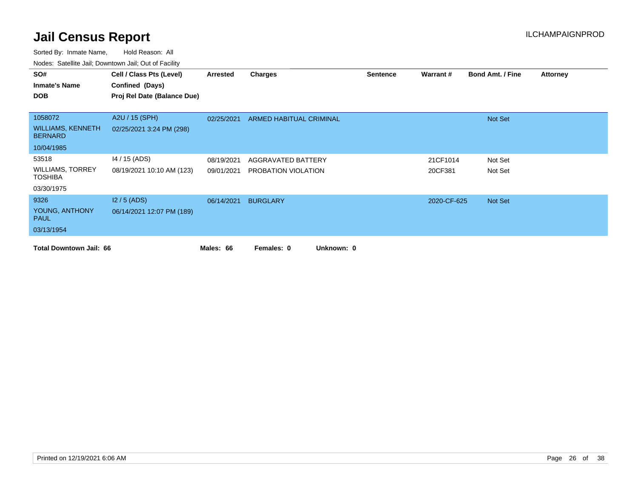| SO#                                        | Cell / Class Pts (Level)    | Arrested   | <b>Charges</b>           | <b>Sentence</b> | Warrant#    | <b>Bond Amt. / Fine</b> | <b>Attorney</b> |
|--------------------------------------------|-----------------------------|------------|--------------------------|-----------------|-------------|-------------------------|-----------------|
| <b>Inmate's Name</b>                       | Confined (Days)             |            |                          |                 |             |                         |                 |
| <b>DOB</b>                                 | Proj Rel Date (Balance Due) |            |                          |                 |             |                         |                 |
|                                            |                             |            |                          |                 |             |                         |                 |
| 1058072                                    | A2U / 15 (SPH)              | 02/25/2021 | ARMED HABITUAL CRIMINAL  |                 |             | Not Set                 |                 |
| <b>WILLIAMS, KENNETH</b><br><b>BERNARD</b> | 02/25/2021 3:24 PM (298)    |            |                          |                 |             |                         |                 |
| 10/04/1985                                 |                             |            |                          |                 |             |                         |                 |
| 53518                                      | 14 / 15 (ADS)               | 08/19/2021 | AGGRAVATED BATTERY       |                 | 21CF1014    | Not Set                 |                 |
| <b>WILLIAMS, TORREY</b><br><b>TOSHIBA</b>  | 08/19/2021 10:10 AM (123)   | 09/01/2021 | PROBATION VIOLATION      |                 | 20CF381     | Not Set                 |                 |
| 03/30/1975                                 |                             |            |                          |                 |             |                         |                 |
| 9326                                       | $12/5$ (ADS)                | 06/14/2021 | <b>BURGLARY</b>          |                 | 2020-CF-625 | Not Set                 |                 |
| YOUNG, ANTHONY<br><b>PAUL</b>              | 06/14/2021 12:07 PM (189)   |            |                          |                 |             |                         |                 |
| 03/13/1954                                 |                             |            |                          |                 |             |                         |                 |
| <b>Total Downtown Jail: 66</b>             |                             | Males: 66  | Unknown: 0<br>Females: 0 |                 |             |                         |                 |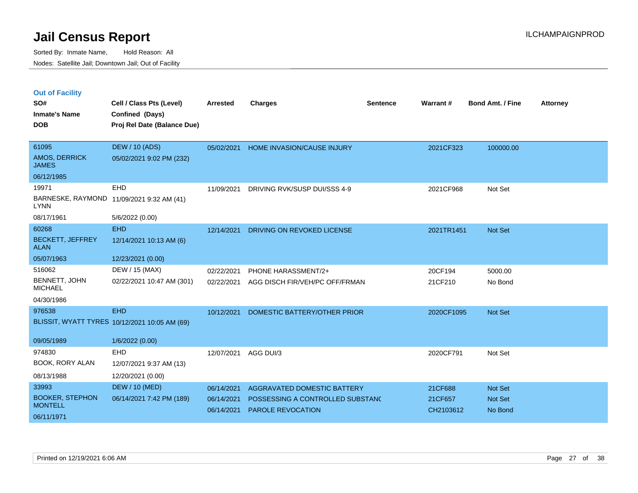|  | <b>Out of Facility</b> |  |
|--|------------------------|--|

| SO#<br><b>Inmate's Name</b><br><b>DOB</b>       | Cell / Class Pts (Level)<br>Confined (Days)<br>Proj Rel Date (Balance Due) | <b>Arrested</b>          | <b>Charges</b>                                        | <b>Sentence</b> | Warrant#             | <b>Bond Amt. / Fine</b> | <b>Attorney</b> |
|-------------------------------------------------|----------------------------------------------------------------------------|--------------------------|-------------------------------------------------------|-----------------|----------------------|-------------------------|-----------------|
| 61095<br>AMOS, DERRICK<br><b>JAMES</b>          | <b>DEW / 10 (ADS)</b><br>05/02/2021 9:02 PM (232)                          | 05/02/2021               | <b>HOME INVASION/CAUSE INJURY</b>                     |                 | 2021CF323            | 100000.00               |                 |
| 06/12/1985                                      |                                                                            |                          |                                                       |                 |                      |                         |                 |
| 19971<br><b>LYNN</b>                            | EHD<br>BARNESKE, RAYMOND 11/09/2021 9:32 AM (41)                           | 11/09/2021               | DRIVING RVK/SUSP DUI/SSS 4-9                          |                 | 2021CF968            | Not Set                 |                 |
| 08/17/1961                                      | 5/6/2022 (0.00)                                                            |                          |                                                       |                 |                      |                         |                 |
| 60268<br><b>BECKETT, JEFFREY</b><br><b>ALAN</b> | <b>EHD</b><br>12/14/2021 10:13 AM (6)                                      | 12/14/2021               | DRIVING ON REVOKED LICENSE                            |                 | 2021TR1451           | <b>Not Set</b>          |                 |
| 05/07/1963                                      | 12/23/2021 (0.00)                                                          |                          |                                                       |                 |                      |                         |                 |
| 516062                                          | DEW / 15 (MAX)                                                             | 02/22/2021               | PHONE HARASSMENT/2+                                   |                 | 20CF194              | 5000.00                 |                 |
| BENNETT, JOHN<br><b>MICHAEL</b>                 | 02/22/2021 10:47 AM (301)                                                  | 02/22/2021               | AGG DISCH FIR/VEH/PC OFF/FRMAN                        |                 | 21CF210              | No Bond                 |                 |
| 04/30/1986                                      |                                                                            |                          |                                                       |                 |                      |                         |                 |
| 976538                                          | <b>EHD</b><br>BLISSIT, WYATT TYRES 10/12/2021 10:05 AM (69)                | 10/12/2021               | DOMESTIC BATTERY/OTHER PRIOR                          |                 | 2020CF1095           | <b>Not Set</b>          |                 |
| 09/05/1989                                      | 1/6/2022 (0.00)                                                            |                          |                                                       |                 |                      |                         |                 |
| 974830<br><b>BOOK, RORY ALAN</b>                | <b>EHD</b><br>12/07/2021 9:37 AM (13)                                      | 12/07/2021               | AGG DUI/3                                             |                 | 2020CF791            | Not Set                 |                 |
| 08/13/1988                                      | 12/20/2021 (0.00)                                                          |                          |                                                       |                 |                      |                         |                 |
| 33993                                           | <b>DEW / 10 (MED)</b>                                                      | 06/14/2021               | AGGRAVATED DOMESTIC BATTERY                           |                 | 21CF688              | Not Set                 |                 |
| <b>BOOKER, STEPHON</b><br><b>MONTELL</b>        | 06/14/2021 7:42 PM (189)                                                   | 06/14/2021<br>06/14/2021 | POSSESSING A CONTROLLED SUBSTANC<br>PAROLE REVOCATION |                 | 21CF657<br>CH2103612 | Not Set<br>No Bond      |                 |
| 06/11/1971                                      |                                                                            |                          |                                                       |                 |                      |                         |                 |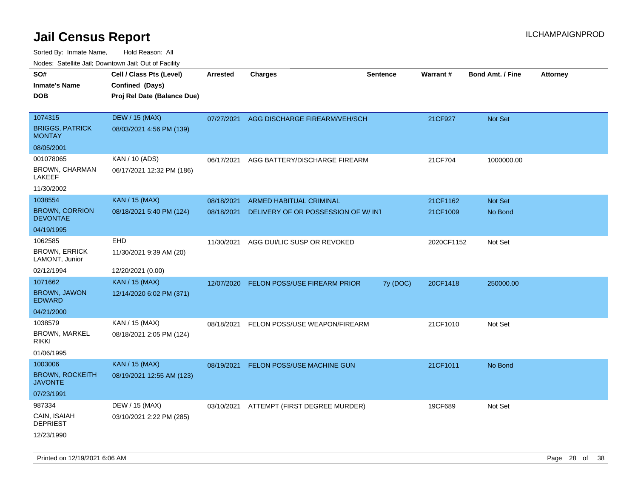| ivouss. Saleling Jali, Downtown Jali, Out of Facility |                                             |            |                                     |                 |                 |                         |                 |
|-------------------------------------------------------|---------------------------------------------|------------|-------------------------------------|-----------------|-----------------|-------------------------|-----------------|
| SO#<br><b>Inmate's Name</b>                           | Cell / Class Pts (Level)<br>Confined (Days) | Arrested   | <b>Charges</b>                      | <b>Sentence</b> | <b>Warrant#</b> | <b>Bond Amt. / Fine</b> | <b>Attorney</b> |
| <b>DOB</b>                                            | Proj Rel Date (Balance Due)                 |            |                                     |                 |                 |                         |                 |
| 1074315                                               | <b>DEW / 15 (MAX)</b>                       | 07/27/2021 | AGG DISCHARGE FIREARM/VEH/SCH       |                 | 21CF927         | Not Set                 |                 |
| <b>BRIGGS, PATRICK</b><br><b>MONTAY</b>               | 08/03/2021 4:56 PM (139)                    |            |                                     |                 |                 |                         |                 |
| 08/05/2001                                            |                                             |            |                                     |                 |                 |                         |                 |
| 001078065                                             | KAN / 10 (ADS)                              | 06/17/2021 | AGG BATTERY/DISCHARGE FIREARM       |                 | 21CF704         | 1000000.00              |                 |
| BROWN, CHARMAN<br>LAKEEF                              | 06/17/2021 12:32 PM (186)                   |            |                                     |                 |                 |                         |                 |
| 11/30/2002                                            |                                             |            |                                     |                 |                 |                         |                 |
| 1038554                                               | <b>KAN / 15 (MAX)</b>                       | 08/18/2021 | ARMED HABITUAL CRIMINAL             |                 | 21CF1162        | <b>Not Set</b>          |                 |
| <b>BROWN, CORRION</b><br><b>DEVONTAE</b>              | 08/18/2021 5:40 PM (124)                    | 08/18/2021 | DELIVERY OF OR POSSESSION OF W/ INT |                 | 21CF1009        | No Bond                 |                 |
| 04/19/1995                                            |                                             |            |                                     |                 |                 |                         |                 |
| 1062585                                               | EHD                                         | 11/30/2021 | AGG DUI/LIC SUSP OR REVOKED         |                 | 2020CF1152      | Not Set                 |                 |
| <b>BROWN, ERRICK</b><br>LAMONT, Junior                | 11/30/2021 9:39 AM (20)                     |            |                                     |                 |                 |                         |                 |
| 02/12/1994                                            | 12/20/2021 (0.00)                           |            |                                     |                 |                 |                         |                 |
| 1071662                                               | <b>KAN / 15 (MAX)</b>                       | 12/07/2020 | <b>FELON POSS/USE FIREARM PRIOR</b> | 7y (DOC)        | 20CF1418        | 250000.00               |                 |
| <b>BROWN, JAWON</b><br><b>EDWARD</b>                  | 12/14/2020 6:02 PM (371)                    |            |                                     |                 |                 |                         |                 |
| 04/21/2000                                            |                                             |            |                                     |                 |                 |                         |                 |
| 1038579                                               | KAN / 15 (MAX)                              | 08/18/2021 | FELON POSS/USE WEAPON/FIREARM       |                 | 21CF1010        | Not Set                 |                 |
| <b>BROWN, MARKEL</b><br><b>RIKKI</b>                  | 08/18/2021 2:05 PM (124)                    |            |                                     |                 |                 |                         |                 |
| 01/06/1995                                            |                                             |            |                                     |                 |                 |                         |                 |
| 1003006                                               | <b>KAN / 15 (MAX)</b>                       | 08/19/2021 | FELON POSS/USE MACHINE GUN          |                 | 21CF1011        | No Bond                 |                 |
| <b>BROWN, ROCKEITH</b><br><b>JAVONTE</b>              | 08/19/2021 12:55 AM (123)                   |            |                                     |                 |                 |                         |                 |
| 07/23/1991                                            |                                             |            |                                     |                 |                 |                         |                 |
| 987334                                                | DEW / 15 (MAX)                              | 03/10/2021 | ATTEMPT (FIRST DEGREE MURDER)       |                 | 19CF689         | Not Set                 |                 |
| CAIN, ISAIAH<br><b>DEPRIEST</b>                       | 03/10/2021 2:22 PM (285)                    |            |                                     |                 |                 |                         |                 |
| 12/23/1990                                            |                                             |            |                                     |                 |                 |                         |                 |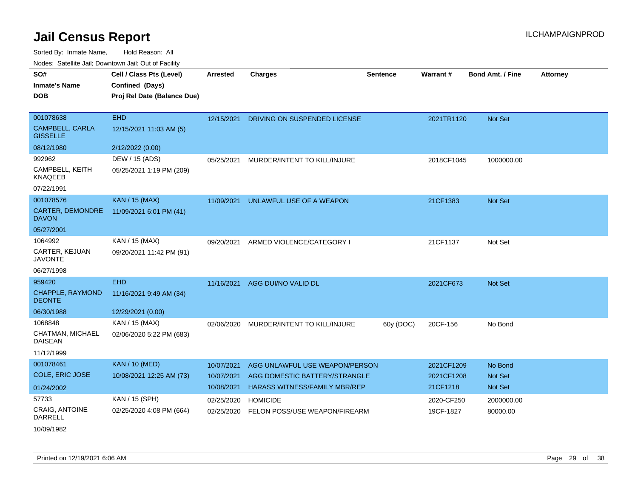| soupois catomic can, Dominomii can, Cat or I domt |                                             |                 |                                |                 |            |                         |                 |
|---------------------------------------------------|---------------------------------------------|-----------------|--------------------------------|-----------------|------------|-------------------------|-----------------|
| SO#<br><b>Inmate's Name</b>                       | Cell / Class Pts (Level)<br>Confined (Days) | <b>Arrested</b> | <b>Charges</b>                 | <b>Sentence</b> | Warrant#   | <b>Bond Amt. / Fine</b> | <b>Attorney</b> |
| <b>DOB</b>                                        | Proj Rel Date (Balance Due)                 |                 |                                |                 |            |                         |                 |
| 001078638                                         | <b>EHD</b>                                  | 12/15/2021      | DRIVING ON SUSPENDED LICENSE   |                 | 2021TR1120 | Not Set                 |                 |
| <b>CAMPBELL, CARLA</b><br><b>GISSELLE</b>         | 12/15/2021 11:03 AM (5)                     |                 |                                |                 |            |                         |                 |
| 08/12/1980                                        | 2/12/2022 (0.00)                            |                 |                                |                 |            |                         |                 |
| 992962                                            | DEW / 15 (ADS)                              | 05/25/2021      | MURDER/INTENT TO KILL/INJURE   |                 | 2018CF1045 | 1000000.00              |                 |
| CAMPBELL, KEITH<br><b>KNAQEEB</b>                 | 05/25/2021 1:19 PM (209)                    |                 |                                |                 |            |                         |                 |
| 07/22/1991                                        |                                             |                 |                                |                 |            |                         |                 |
| 001078576                                         | <b>KAN / 15 (MAX)</b>                       | 11/09/2021      | UNLAWFUL USE OF A WEAPON       |                 | 21CF1383   | <b>Not Set</b>          |                 |
| CARTER, DEMONDRE<br><b>DAVON</b>                  | 11/09/2021 6:01 PM (41)                     |                 |                                |                 |            |                         |                 |
| 05/27/2001                                        |                                             |                 |                                |                 |            |                         |                 |
| 1064992                                           | KAN / 15 (MAX)                              | 09/20/2021      | ARMED VIOLENCE/CATEGORY I      |                 | 21CF1137   | Not Set                 |                 |
| CARTER, KEJUAN<br><b>JAVONTE</b>                  | 09/20/2021 11:42 PM (91)                    |                 |                                |                 |            |                         |                 |
| 06/27/1998                                        |                                             |                 |                                |                 |            |                         |                 |
| 959420                                            | <b>EHD</b>                                  | 11/16/2021      | AGG DUI/NO VALID DL            |                 | 2021CF673  | Not Set                 |                 |
| CHAPPLE, RAYMOND<br><b>DEONTE</b>                 | 11/16/2021 9:49 AM (34)                     |                 |                                |                 |            |                         |                 |
| 06/30/1988                                        | 12/29/2021 (0.00)                           |                 |                                |                 |            |                         |                 |
| 1068848                                           | KAN / 15 (MAX)                              | 02/06/2020      | MURDER/INTENT TO KILL/INJURE   | 60y (DOC)       | 20CF-156   | No Bond                 |                 |
| CHATMAN, MICHAEL<br><b>DAISEAN</b>                | 02/06/2020 5:22 PM (683)                    |                 |                                |                 |            |                         |                 |
| 11/12/1999                                        |                                             |                 |                                |                 |            |                         |                 |
| 001078461                                         | <b>KAN / 10 (MED)</b>                       | 10/07/2021      | AGG UNLAWFUL USE WEAPON/PERSON |                 | 2021CF1209 | No Bond                 |                 |
| COLE, ERIC JOSE                                   | 10/08/2021 12:25 AM (73)                    | 10/07/2021      | AGG DOMESTIC BATTERY/STRANGLE  |                 | 2021CF1208 | Not Set                 |                 |
| 01/24/2002                                        |                                             | 10/08/2021      | HARASS WITNESS/FAMILY MBR/REP  |                 | 21CF1218   | <b>Not Set</b>          |                 |
| 57733                                             | KAN / 15 (SPH)                              | 02/25/2020      | <b>HOMICIDE</b>                |                 | 2020-CF250 | 2000000.00              |                 |
| <b>CRAIG, ANTOINE</b><br><b>DARRELL</b>           | 02/25/2020 4:08 PM (664)                    | 02/25/2020      | FELON POSS/USE WEAPON/FIREARM  |                 | 19CF-1827  | 80000.00                |                 |
| 10/09/1982                                        |                                             |                 |                                |                 |            |                         |                 |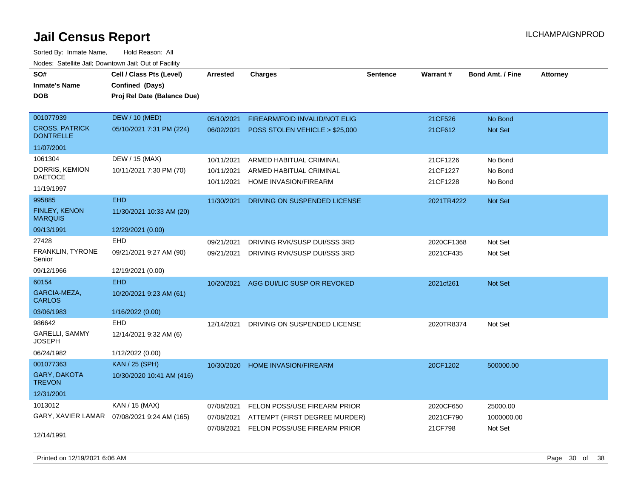| rouco. Calcinic Jan, Downtown Jan, Out of Facility |                                              |                 |                                |                 |            |                         |                 |
|----------------------------------------------------|----------------------------------------------|-----------------|--------------------------------|-----------------|------------|-------------------------|-----------------|
| SO#                                                | Cell / Class Pts (Level)                     | <b>Arrested</b> | <b>Charges</b>                 | <b>Sentence</b> | Warrant#   | <b>Bond Amt. / Fine</b> | <b>Attorney</b> |
| <b>Inmate's Name</b>                               | Confined (Days)                              |                 |                                |                 |            |                         |                 |
| <b>DOB</b>                                         | Proj Rel Date (Balance Due)                  |                 |                                |                 |            |                         |                 |
|                                                    |                                              |                 |                                |                 |            |                         |                 |
| 001077939                                          | <b>DEW / 10 (MED)</b>                        | 05/10/2021      | FIREARM/FOID INVALID/NOT ELIG  |                 | 21CF526    | No Bond                 |                 |
| <b>CROSS, PATRICK</b><br><b>DONTRELLE</b>          | 05/10/2021 7:31 PM (224)                     | 06/02/2021      | POSS STOLEN VEHICLE > \$25,000 |                 | 21CF612    | <b>Not Set</b>          |                 |
| 11/07/2001                                         |                                              |                 |                                |                 |            |                         |                 |
| 1061304                                            | DEW / 15 (MAX)                               | 10/11/2021      | ARMED HABITUAL CRIMINAL        |                 | 21CF1226   | No Bond                 |                 |
| DORRIS, KEMION                                     | 10/11/2021 7:30 PM (70)                      | 10/11/2021      | ARMED HABITUAL CRIMINAL        |                 | 21CF1227   | No Bond                 |                 |
| <b>DAETOCE</b>                                     |                                              | 10/11/2021      | HOME INVASION/FIREARM          |                 | 21CF1228   | No Bond                 |                 |
| 11/19/1997                                         |                                              |                 |                                |                 |            |                         |                 |
| 995885                                             | <b>EHD</b>                                   | 11/30/2021      | DRIVING ON SUSPENDED LICENSE   |                 | 2021TR4222 | Not Set                 |                 |
| FINLEY, KENON<br><b>MARQUIS</b>                    | 11/30/2021 10:33 AM (20)                     |                 |                                |                 |            |                         |                 |
| 09/13/1991                                         | 12/29/2021 (0.00)                            |                 |                                |                 |            |                         |                 |
| 27428                                              | <b>EHD</b>                                   | 09/21/2021      | DRIVING RVK/SUSP DUI/SSS 3RD   |                 | 2020CF1368 | Not Set                 |                 |
| FRANKLIN, TYRONE<br>Senior                         | 09/21/2021 9:27 AM (90)                      | 09/21/2021      | DRIVING RVK/SUSP DUI/SSS 3RD   |                 | 2021CF435  | Not Set                 |                 |
| 09/12/1966                                         | 12/19/2021 (0.00)                            |                 |                                |                 |            |                         |                 |
| 60154                                              | <b>EHD</b>                                   | 10/20/2021      | AGG DUI/LIC SUSP OR REVOKED    |                 | 2021cf261  | <b>Not Set</b>          |                 |
| GARCIA-MEZA,<br><b>CARLOS</b>                      | 10/20/2021 9:23 AM (61)                      |                 |                                |                 |            |                         |                 |
| 03/06/1983                                         | 1/16/2022 (0.00)                             |                 |                                |                 |            |                         |                 |
| 986642                                             | <b>EHD</b>                                   | 12/14/2021      | DRIVING ON SUSPENDED LICENSE   |                 | 2020TR8374 | Not Set                 |                 |
| GARELLI, SAMMY<br>JOSEPH                           | 12/14/2021 9:32 AM (6)                       |                 |                                |                 |            |                         |                 |
| 06/24/1982                                         | 1/12/2022 (0.00)                             |                 |                                |                 |            |                         |                 |
| 001077363                                          | <b>KAN / 25 (SPH)</b>                        | 10/30/2020      | <b>HOME INVASION/FIREARM</b>   |                 | 20CF1202   | 500000.00               |                 |
| GARY, DAKOTA<br><b>TREVON</b>                      | 10/30/2020 10:41 AM (416)                    |                 |                                |                 |            |                         |                 |
| 12/31/2001                                         |                                              |                 |                                |                 |            |                         |                 |
| 1013012                                            | KAN / 15 (MAX)                               | 07/08/2021      | FELON POSS/USE FIREARM PRIOR   |                 | 2020CF650  | 25000.00                |                 |
|                                                    | GARY, XAVIER LAMAR  07/08/2021 9:24 AM (165) | 07/08/2021      | ATTEMPT (FIRST DEGREE MURDER)  |                 | 2021CF790  | 1000000.00              |                 |
|                                                    |                                              | 07/08/2021      | FELON POSS/USE FIREARM PRIOR   |                 | 21CF798    | Not Set                 |                 |
| 12/14/1991                                         |                                              |                 |                                |                 |            |                         |                 |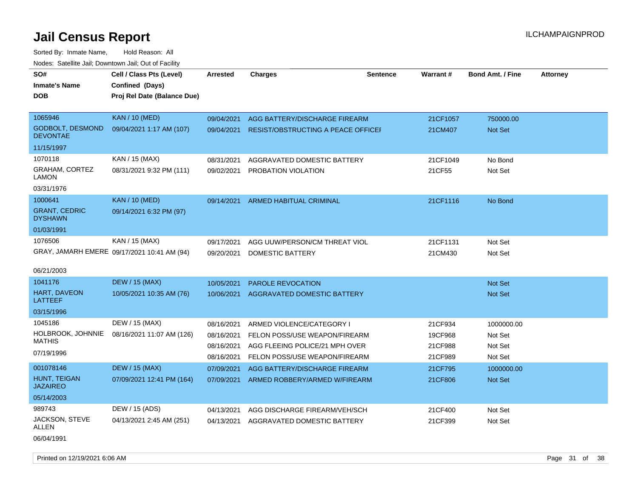| vouco. Catolino cali, Downtown cali, Out of Facility |                                             |                 |                                    |                 |          |                         |                 |
|------------------------------------------------------|---------------------------------------------|-----------------|------------------------------------|-----------------|----------|-------------------------|-----------------|
| SO#                                                  | Cell / Class Pts (Level)                    | <b>Arrested</b> | <b>Charges</b>                     | <b>Sentence</b> | Warrant# | <b>Bond Amt. / Fine</b> | <b>Attorney</b> |
| <b>Inmate's Name</b>                                 | Confined (Days)                             |                 |                                    |                 |          |                         |                 |
| DOB                                                  | Proj Rel Date (Balance Due)                 |                 |                                    |                 |          |                         |                 |
|                                                      |                                             |                 |                                    |                 |          |                         |                 |
| 1065946                                              | <b>KAN / 10 (MED)</b>                       | 09/04/2021      | AGG BATTERY/DISCHARGE FIREARM      |                 | 21CF1057 | 750000.00               |                 |
| GODBOLT, DESMOND<br><b>DEVONTAE</b>                  | 09/04/2021 1:17 AM (107)                    | 09/04/2021      | RESIST/OBSTRUCTING A PEACE OFFICEI |                 | 21CM407  | Not Set                 |                 |
| 11/15/1997                                           |                                             |                 |                                    |                 |          |                         |                 |
| 1070118                                              | KAN / 15 (MAX)                              | 08/31/2021      | AGGRAVATED DOMESTIC BATTERY        |                 | 21CF1049 | No Bond                 |                 |
| <b>GRAHAM, CORTEZ</b><br>LAMON                       | 08/31/2021 9:32 PM (111)                    | 09/02/2021      | PROBATION VIOLATION                |                 | 21CF55   | Not Set                 |                 |
| 03/31/1976                                           |                                             |                 |                                    |                 |          |                         |                 |
| 1000641                                              | <b>KAN / 10 (MED)</b>                       | 09/14/2021      | ARMED HABITUAL CRIMINAL            |                 | 21CF1116 | No Bond                 |                 |
| <b>GRANT, CEDRIC</b><br><b>DYSHAWN</b>               | 09/14/2021 6:32 PM (97)                     |                 |                                    |                 |          |                         |                 |
| 01/03/1991                                           |                                             |                 |                                    |                 |          |                         |                 |
| 1076506                                              | KAN / 15 (MAX)                              | 09/17/2021      | AGG UUW/PERSON/CM THREAT VIOL      |                 | 21CF1131 | Not Set                 |                 |
|                                                      | GRAY, JAMARH EMERE 09/17/2021 10:41 AM (94) | 09/20/2021      | DOMESTIC BATTERY                   |                 | 21CM430  | Not Set                 |                 |
|                                                      |                                             |                 |                                    |                 |          |                         |                 |
| 06/21/2003                                           |                                             |                 |                                    |                 |          |                         |                 |
| 1041176                                              | <b>DEW / 15 (MAX)</b>                       | 10/05/2021      | <b>PAROLE REVOCATION</b>           |                 |          | Not Set                 |                 |
| <b>HART, DAVEON</b><br>LATTEEF                       | 10/05/2021 10:35 AM (76)                    | 10/06/2021      | AGGRAVATED DOMESTIC BATTERY        |                 |          | <b>Not Set</b>          |                 |
| 03/15/1996                                           |                                             |                 |                                    |                 |          |                         |                 |
| 1045186                                              | DEW / 15 (MAX)                              | 08/16/2021      | ARMED VIOLENCE/CATEGORY I          |                 | 21CF934  | 1000000.00              |                 |
| HOLBROOK, JOHNNIE                                    | 08/16/2021 11:07 AM (126)                   | 08/16/2021      | FELON POSS/USE WEAPON/FIREARM      |                 | 19CF968  | Not Set                 |                 |
| <b>MATHIS</b>                                        |                                             | 08/16/2021      | AGG FLEEING POLICE/21 MPH OVER     |                 | 21CF988  | Not Set                 |                 |
| 07/19/1996                                           |                                             | 08/16/2021      | FELON POSS/USE WEAPON/FIREARM      |                 | 21CF989  | Not Set                 |                 |
| 001078146                                            | <b>DEW / 15 (MAX)</b>                       | 07/09/2021      | AGG BATTERY/DISCHARGE FIREARM      |                 | 21CF795  | 1000000.00              |                 |
| <b>HUNT, TEIGAN</b><br><b>JAZAIREO</b>               | 07/09/2021 12:41 PM (164)                   | 07/09/2021      | ARMED ROBBERY/ARMED W/FIREARM      |                 | 21CF806  | <b>Not Set</b>          |                 |
| 05/14/2003                                           |                                             |                 |                                    |                 |          |                         |                 |
| 989743                                               | DEW / 15 (ADS)                              | 04/13/2021      | AGG DISCHARGE FIREARM/VEH/SCH      |                 | 21CF400  | Not Set                 |                 |
| JACKSON, STEVE<br>ALLEN                              | 04/13/2021 2:45 AM (251)                    | 04/13/2021      | AGGRAVATED DOMESTIC BATTERY        |                 | 21CF399  | Not Set                 |                 |
| 06/04/1991                                           |                                             |                 |                                    |                 |          |                         |                 |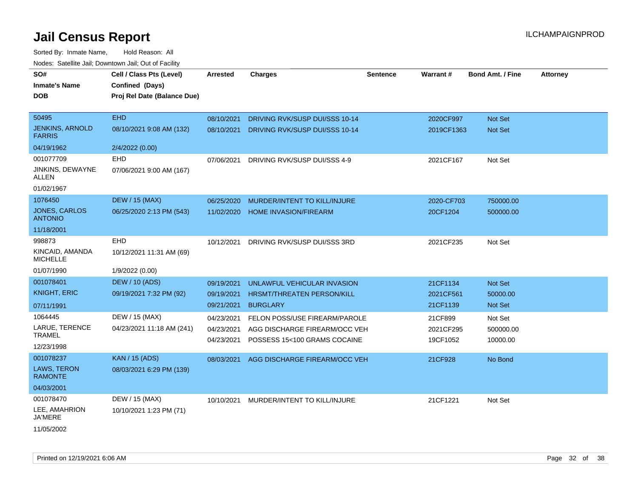| roaco. Catolino cali, Downtown cali, Out of Fability |                                                                            |                 |                                         |          |                 |                         |                 |
|------------------------------------------------------|----------------------------------------------------------------------------|-----------------|-----------------------------------------|----------|-----------------|-------------------------|-----------------|
| SO#<br><b>Inmate's Name</b><br>DOB                   | Cell / Class Pts (Level)<br>Confined (Days)<br>Proj Rel Date (Balance Due) | <b>Arrested</b> | <b>Charges</b>                          | Sentence | <b>Warrant#</b> | <b>Bond Amt. / Fine</b> | <b>Attorney</b> |
|                                                      |                                                                            |                 |                                         |          |                 |                         |                 |
| 50495                                                | <b>EHD</b>                                                                 | 08/10/2021      | DRIVING RVK/SUSP DUI/SSS 10-14          |          | 2020CF997       | Not Set                 |                 |
| <b>JENKINS, ARNOLD</b><br><b>FARRIS</b>              | 08/10/2021 9:08 AM (132)                                                   | 08/10/2021      | DRIVING RVK/SUSP DUI/SSS 10-14          |          | 2019CF1363      | Not Set                 |                 |
| 04/19/1962                                           | 2/4/2022 (0.00)                                                            |                 |                                         |          |                 |                         |                 |
| 001077709                                            | EHD                                                                        |                 | 07/06/2021 DRIVING RVK/SUSP DUI/SSS 4-9 |          | 2021CF167       | Not Set                 |                 |
| JINKINS, DEWAYNE<br>ALLEN                            | 07/06/2021 9:00 AM (167)                                                   |                 |                                         |          |                 |                         |                 |
| 01/02/1967                                           |                                                                            |                 |                                         |          |                 |                         |                 |
| 1076450                                              | <b>DEW / 15 (MAX)</b>                                                      | 06/25/2020      | MURDER/INTENT TO KILL/INJURE            |          | 2020-CF703      | 750000.00               |                 |
| <b>JONES, CARLOS</b><br><b>ANTONIO</b>               | 06/25/2020 2:13 PM (543)                                                   | 11/02/2020      | <b>HOME INVASION/FIREARM</b>            |          | 20CF1204        | 500000.00               |                 |
| 11/18/2001                                           |                                                                            |                 |                                         |          |                 |                         |                 |
| 998873                                               | EHD                                                                        | 10/12/2021      | DRIVING RVK/SUSP DUI/SSS 3RD            |          | 2021CF235       | Not Set                 |                 |
| KINCAID, AMANDA<br><b>MICHELLE</b>                   | 10/12/2021 11:31 AM (69)                                                   |                 |                                         |          |                 |                         |                 |
| 01/07/1990                                           | 1/9/2022 (0.00)                                                            |                 |                                         |          |                 |                         |                 |
| 001078401                                            | <b>DEW / 10 (ADS)</b>                                                      | 09/19/2021      | UNLAWFUL VEHICULAR INVASION             |          | 21CF1134        | Not Set                 |                 |
| <b>KNIGHT, ERIC</b>                                  | 09/19/2021 7:32 PM (92)                                                    | 09/19/2021      | HRSMT/THREATEN PERSON/KILL              |          | 2021CF561       | 50000.00                |                 |
| 07/11/1991                                           |                                                                            | 09/21/2021      | <b>BURGLARY</b>                         |          | 21CF1139        | <b>Not Set</b>          |                 |
| 1064445                                              | DEW / 15 (MAX)                                                             | 04/23/2021      | FELON POSS/USE FIREARM/PAROLE           |          | 21CF899         | Not Set                 |                 |
| LARUE, TERENCE                                       | 04/23/2021 11:18 AM (241)                                                  | 04/23/2021      | AGG DISCHARGE FIREARM/OCC VEH           |          | 2021CF295       | 500000.00               |                 |
| <b>TRAMEL</b>                                        |                                                                            | 04/23/2021      | POSSESS 15<100 GRAMS COCAINE            |          | 19CF1052        | 10000.00                |                 |
| 12/23/1998                                           |                                                                            |                 |                                         |          |                 |                         |                 |
| 001078237                                            | <b>KAN / 15 (ADS)</b>                                                      | 08/03/2021      | AGG DISCHARGE FIREARM/OCC VEH           |          | 21CF928         | No Bond                 |                 |
| LAWS, TERON<br><b>RAMONTE</b>                        | 08/03/2021 6:29 PM (139)                                                   |                 |                                         |          |                 |                         |                 |
| 04/03/2001                                           |                                                                            |                 |                                         |          |                 |                         |                 |
| 001078470                                            | DEW / 15 (MAX)                                                             | 10/10/2021      | MURDER/INTENT TO KILL/INJURE            |          | 21CF1221        | Not Set                 |                 |
| LEE, AMAHRION<br><b>JA'MERE</b>                      | 10/10/2021 1:23 PM (71)                                                    |                 |                                         |          |                 |                         |                 |
| 11/05/2002                                           |                                                                            |                 |                                         |          |                 |                         |                 |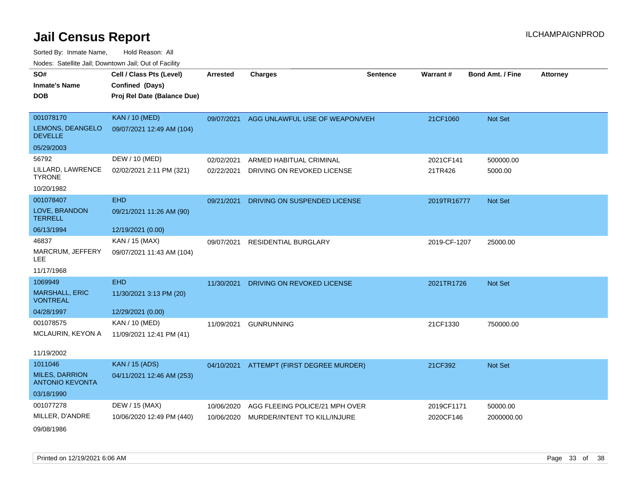| SO#                                             | Cell / Class Pts (Level)    | <b>Arrested</b> | <b>Charges</b>                           | <b>Sentence</b> | Warrant#     | <b>Bond Amt. / Fine</b> | <b>Attorney</b> |
|-------------------------------------------------|-----------------------------|-----------------|------------------------------------------|-----------------|--------------|-------------------------|-----------------|
| <b>Inmate's Name</b>                            | Confined (Days)             |                 |                                          |                 |              |                         |                 |
| <b>DOB</b>                                      | Proj Rel Date (Balance Due) |                 |                                          |                 |              |                         |                 |
|                                                 |                             |                 |                                          |                 |              |                         |                 |
| 001078170                                       | <b>KAN / 10 (MED)</b>       | 09/07/2021      | AGG UNLAWFUL USE OF WEAPON/VEH           |                 | 21CF1060     | Not Set                 |                 |
| LEMONS, DEANGELO<br><b>DEVELLE</b>              | 09/07/2021 12:49 AM (104)   |                 |                                          |                 |              |                         |                 |
| 05/29/2003                                      |                             |                 |                                          |                 |              |                         |                 |
| 56792                                           | DEW / 10 (MED)              | 02/02/2021      | ARMED HABITUAL CRIMINAL                  |                 | 2021CF141    | 500000.00               |                 |
| LILLARD, LAWRENCE<br><b>TYRONE</b>              | 02/02/2021 2:11 PM (321)    | 02/22/2021      | DRIVING ON REVOKED LICENSE               |                 | 21TR426      | 5000.00                 |                 |
| 10/20/1982                                      |                             |                 |                                          |                 |              |                         |                 |
| 001078407                                       | <b>EHD</b>                  | 09/21/2021      | DRIVING ON SUSPENDED LICENSE             |                 | 2019TR16777  | Not Set                 |                 |
| LOVE, BRANDON<br><b>TERRELL</b>                 | 09/21/2021 11:26 AM (90)    |                 |                                          |                 |              |                         |                 |
| 06/13/1994                                      | 12/19/2021 (0.00)           |                 |                                          |                 |              |                         |                 |
| 46837                                           | KAN / 15 (MAX)              | 09/07/2021      | <b>RESIDENTIAL BURGLARY</b>              |                 | 2019-CF-1207 | 25000.00                |                 |
| MARCRUM, JEFFERY<br><b>LEE</b>                  | 09/07/2021 11:43 AM (104)   |                 |                                          |                 |              |                         |                 |
| 11/17/1968                                      |                             |                 |                                          |                 |              |                         |                 |
| 1069949                                         | <b>EHD</b>                  | 11/30/2021      | DRIVING ON REVOKED LICENSE               |                 | 2021TR1726   | Not Set                 |                 |
| MARSHALL, ERIC<br><b>VONTREAL</b>               | 11/30/2021 3:13 PM (20)     |                 |                                          |                 |              |                         |                 |
| 04/28/1997                                      | 12/29/2021 (0.00)           |                 |                                          |                 |              |                         |                 |
| 001078575                                       | KAN / 10 (MED)              | 11/09/2021      | <b>GUNRUNNING</b>                        |                 | 21CF1330     | 750000.00               |                 |
| MCLAURIN, KEYON A                               | 11/09/2021 12:41 PM (41)    |                 |                                          |                 |              |                         |                 |
| 11/19/2002                                      |                             |                 |                                          |                 |              |                         |                 |
| 1011046                                         | <b>KAN / 15 (ADS)</b>       |                 | 04/10/2021 ATTEMPT (FIRST DEGREE MURDER) |                 | 21CF392      | Not Set                 |                 |
| <b>MILES, DARRION</b><br><b>ANTONIO KEVONTA</b> | 04/11/2021 12:46 AM (253)   |                 |                                          |                 |              |                         |                 |
| 03/18/1990                                      |                             |                 |                                          |                 |              |                         |                 |
| 001077278                                       | DEW / 15 (MAX)              | 10/06/2020      | AGG FLEEING POLICE/21 MPH OVER           |                 | 2019CF1171   | 50000.00                |                 |
| MILLER, D'ANDRE                                 | 10/06/2020 12:49 PM (440)   | 10/06/2020      | MURDER/INTENT TO KILL/INJURE             |                 | 2020CF146    | 2000000.00              |                 |
| 09/08/1986                                      |                             |                 |                                          |                 |              |                         |                 |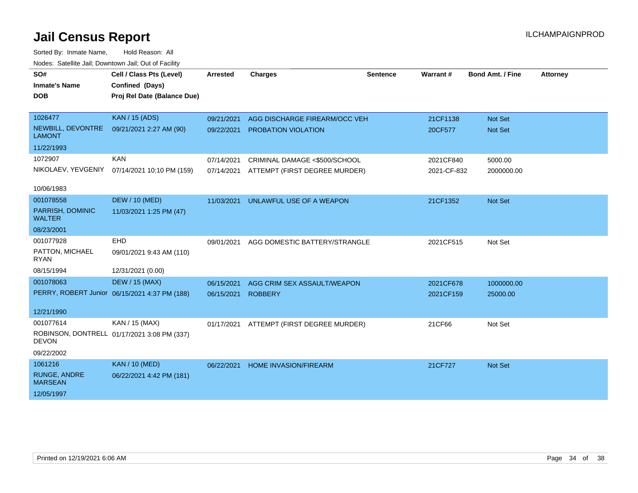| SO#                                   | Cell / Class Pts (Level)                      | <b>Arrested</b> | <b>Charges</b>                | Sentence | Warrant#    | <b>Bond Amt. / Fine</b> | <b>Attorney</b> |
|---------------------------------------|-----------------------------------------------|-----------------|-------------------------------|----------|-------------|-------------------------|-----------------|
| <b>Inmate's Name</b>                  | Confined (Days)                               |                 |                               |          |             |                         |                 |
| <b>DOB</b>                            | Proj Rel Date (Balance Due)                   |                 |                               |          |             |                         |                 |
|                                       |                                               |                 |                               |          |             |                         |                 |
| 1026477                               | <b>KAN / 15 (ADS)</b>                         | 09/21/2021      | AGG DISCHARGE FIREARM/OCC VEH |          | 21CF1138    | Not Set                 |                 |
| NEWBILL, DEVONTRE<br><b>LAMONT</b>    | 09/21/2021 2:27 AM (90)                       | 09/22/2021      | PROBATION VIOLATION           |          | 20CF577     | <b>Not Set</b>          |                 |
| 11/22/1993                            |                                               |                 |                               |          |             |                         |                 |
| 1072907                               | <b>KAN</b>                                    | 07/14/2021      | CRIMINAL DAMAGE <\$500/SCHOOL |          | 2021CF840   | 5000.00                 |                 |
| NIKOLAEV, YEVGENIY                    | 07/14/2021 10:10 PM (159)                     | 07/14/2021      | ATTEMPT (FIRST DEGREE MURDER) |          | 2021-CF-832 | 2000000.00              |                 |
|                                       |                                               |                 |                               |          |             |                         |                 |
| 10/06/1983                            |                                               |                 |                               |          |             |                         |                 |
| 001078558                             | <b>DEW / 10 (MED)</b>                         | 11/03/2021      | UNLAWFUL USE OF A WEAPON      |          | 21CF1352    | <b>Not Set</b>          |                 |
| PARRISH, DOMINIC<br><b>WALTER</b>     | 11/03/2021 1:25 PM (47)                       |                 |                               |          |             |                         |                 |
| 08/23/2001                            |                                               |                 |                               |          |             |                         |                 |
| 001077928                             | EHD                                           | 09/01/2021      | AGG DOMESTIC BATTERY/STRANGLE |          | 2021CF515   | Not Set                 |                 |
| PATTON, MICHAEL<br><b>RYAN</b>        | 09/01/2021 9:43 AM (110)                      |                 |                               |          |             |                         |                 |
| 08/15/1994                            | 12/31/2021 (0.00)                             |                 |                               |          |             |                         |                 |
| 001078063                             | <b>DEW / 15 (MAX)</b>                         | 06/15/2021      | AGG CRIM SEX ASSAULT/WEAPON   |          | 2021CF678   | 1000000.00              |                 |
|                                       | PERRY, ROBERT Junior 06/15/2021 4:37 PM (188) | 06/15/2021      | <b>ROBBERY</b>                |          | 2021CF159   | 25000.00                |                 |
|                                       |                                               |                 |                               |          |             |                         |                 |
| 12/21/1990                            |                                               |                 |                               |          |             |                         |                 |
| 001077614                             | KAN / 15 (MAX)                                | 01/17/2021      | ATTEMPT (FIRST DEGREE MURDER) |          | 21CF66      | Not Set                 |                 |
| <b>DEVON</b>                          | ROBINSON, DONTRELL 01/17/2021 3:08 PM (337)   |                 |                               |          |             |                         |                 |
| 09/22/2002                            |                                               |                 |                               |          |             |                         |                 |
| 1061216                               | <b>KAN / 10 (MED)</b>                         | 06/22/2021      | <b>HOME INVASION/FIREARM</b>  |          | 21CF727     | Not Set                 |                 |
| <b>RUNGE, ANDRE</b><br><b>MARSEAN</b> | 06/22/2021 4:42 PM (181)                      |                 |                               |          |             |                         |                 |
| 12/05/1997                            |                                               |                 |                               |          |             |                         |                 |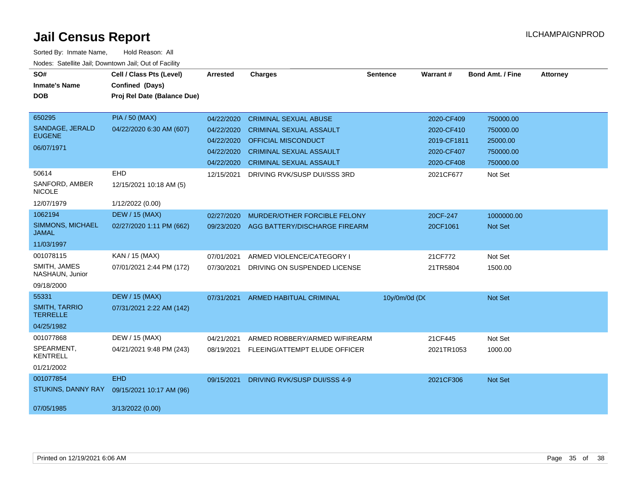| SO#                                     | Cell / Class Pts (Level)    | <b>Arrested</b> | <b>Charges</b>                 | <b>Sentence</b> | Warrant#    | <b>Bond Amt. / Fine</b> | <b>Attorney</b> |
|-----------------------------------------|-----------------------------|-----------------|--------------------------------|-----------------|-------------|-------------------------|-----------------|
| <b>Inmate's Name</b>                    | Confined (Days)             |                 |                                |                 |             |                         |                 |
| <b>DOB</b>                              | Proj Rel Date (Balance Due) |                 |                                |                 |             |                         |                 |
|                                         |                             |                 |                                |                 |             |                         |                 |
| 650295                                  | <b>PIA / 50 (MAX)</b>       | 04/22/2020      | <b>CRIMINAL SEXUAL ABUSE</b>   |                 | 2020-CF409  | 750000.00               |                 |
| SANDAGE, JERALD<br><b>EUGENE</b>        | 04/22/2020 6:30 AM (607)    | 04/22/2020      | <b>CRIMINAL SEXUAL ASSAULT</b> |                 | 2020-CF410  | 750000.00               |                 |
|                                         |                             | 04/22/2020      | OFFICIAL MISCONDUCT            |                 | 2019-CF1811 | 25000.00                |                 |
| 06/07/1971                              |                             | 04/22/2020      | <b>CRIMINAL SEXUAL ASSAULT</b> |                 | 2020-CF407  | 750000.00               |                 |
|                                         |                             | 04/22/2020      | <b>CRIMINAL SEXUAL ASSAULT</b> |                 | 2020-CF408  | 750000.00               |                 |
| 50614                                   | <b>EHD</b>                  | 12/15/2021      | DRIVING RVK/SUSP DUI/SSS 3RD   |                 | 2021CF677   | Not Set                 |                 |
| SANFORD, AMBER<br><b>NICOLE</b>         | 12/15/2021 10:18 AM (5)     |                 |                                |                 |             |                         |                 |
| 12/07/1979                              | 1/12/2022 (0.00)            |                 |                                |                 |             |                         |                 |
| 1062194                                 | <b>DEW / 15 (MAX)</b>       | 02/27/2020      | MURDER/OTHER FORCIBLE FELONY   |                 | 20CF-247    | 1000000.00              |                 |
| <b>SIMMONS, MICHAEL</b><br><b>JAMAL</b> | 02/27/2020 1:11 PM (662)    | 09/23/2020      | AGG BATTERY/DISCHARGE FIREARM  |                 | 20CF1061    | Not Set                 |                 |
| 11/03/1997                              |                             |                 |                                |                 |             |                         |                 |
| 001078115                               | KAN / 15 (MAX)              | 07/01/2021      | ARMED VIOLENCE/CATEGORY I      |                 | 21CF772     | Not Set                 |                 |
| SMITH, JAMES<br>NASHAUN, Junior         | 07/01/2021 2:44 PM (172)    | 07/30/2021      | DRIVING ON SUSPENDED LICENSE   |                 | 21TR5804    | 1500.00                 |                 |
| 09/18/2000                              |                             |                 |                                |                 |             |                         |                 |
| 55331                                   | <b>DEW / 15 (MAX)</b>       | 07/31/2021      | <b>ARMED HABITUAL CRIMINAL</b> | 10y/0m/0d (DC   |             | Not Set                 |                 |
| <b>SMITH, TARRIO</b><br><b>TERRELLE</b> | 07/31/2021 2:22 AM (142)    |                 |                                |                 |             |                         |                 |
| 04/25/1982                              |                             |                 |                                |                 |             |                         |                 |
| 001077868                               | DEW / 15 (MAX)              | 04/21/2021      | ARMED ROBBERY/ARMED W/FIREARM  |                 | 21CF445     | Not Set                 |                 |
| SPEARMENT,<br><b>KENTRELL</b>           | 04/21/2021 9:48 PM (243)    | 08/19/2021      | FLEEING/ATTEMPT ELUDE OFFICER  |                 | 2021TR1053  | 1000.00                 |                 |
| 01/21/2002                              |                             |                 |                                |                 |             |                         |                 |
| 001077854                               | <b>EHD</b>                  | 09/15/2021      | DRIVING RVK/SUSP DUI/SSS 4-9   |                 | 2021CF306   | <b>Not Set</b>          |                 |
| STUKINS, DANNY RAY                      | 09/15/2021 10:17 AM (96)    |                 |                                |                 |             |                         |                 |
| 07/05/1985                              | 3/13/2022 (0.00)            |                 |                                |                 |             |                         |                 |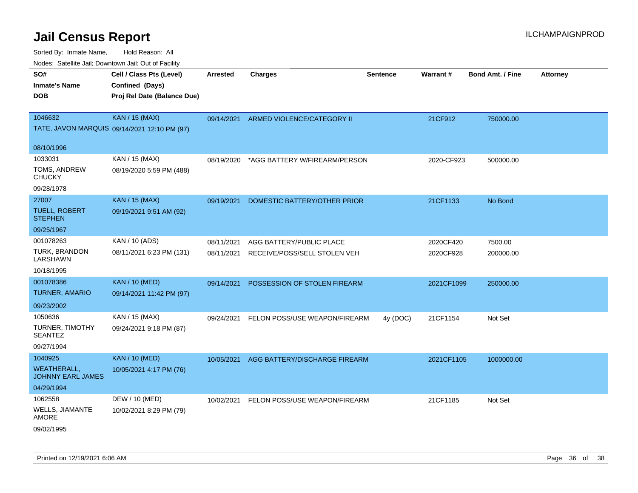| <b>Nouro:</b> Catoline Jan, Downtown Jan, Out of Fability |                                              |                 |                               |                 |            |                         |                 |
|-----------------------------------------------------------|----------------------------------------------|-----------------|-------------------------------|-----------------|------------|-------------------------|-----------------|
| SO#                                                       | Cell / Class Pts (Level)                     | <b>Arrested</b> | <b>Charges</b>                | <b>Sentence</b> | Warrant#   | <b>Bond Amt. / Fine</b> | <b>Attorney</b> |
| <b>Inmate's Name</b>                                      | Confined (Days)                              |                 |                               |                 |            |                         |                 |
| <b>DOB</b>                                                | Proj Rel Date (Balance Due)                  |                 |                               |                 |            |                         |                 |
|                                                           |                                              |                 |                               |                 |            |                         |                 |
| 1046632                                                   | <b>KAN / 15 (MAX)</b>                        | 09/14/2021      | ARMED VIOLENCE/CATEGORY II    |                 | 21CF912    | 750000.00               |                 |
|                                                           | TATE, JAVON MARQUIS 09/14/2021 12:10 PM (97) |                 |                               |                 |            |                         |                 |
| 08/10/1996                                                |                                              |                 |                               |                 |            |                         |                 |
| 1033031                                                   | KAN / 15 (MAX)                               | 08/19/2020      | *AGG BATTERY W/FIREARM/PERSON |                 | 2020-CF923 | 500000.00               |                 |
| TOMS, ANDREW<br><b>CHUCKY</b>                             | 08/19/2020 5:59 PM (488)                     |                 |                               |                 |            |                         |                 |
| 09/28/1978                                                |                                              |                 |                               |                 |            |                         |                 |
| 27007                                                     | <b>KAN / 15 (MAX)</b>                        | 09/19/2021      | DOMESTIC BATTERY/OTHER PRIOR  |                 | 21CF1133   | No Bond                 |                 |
| <b>TUELL, ROBERT</b><br><b>STEPHEN</b>                    | 09/19/2021 9:51 AM (92)                      |                 |                               |                 |            |                         |                 |
| 09/25/1967                                                |                                              |                 |                               |                 |            |                         |                 |
| 001078263                                                 | KAN / 10 (ADS)                               | 08/11/2021      | AGG BATTERY/PUBLIC PLACE      |                 | 2020CF420  | 7500.00                 |                 |
| <b>TURK, BRANDON</b><br>LARSHAWN                          | 08/11/2021 6:23 PM (131)                     | 08/11/2021      | RECEIVE/POSS/SELL STOLEN VEH  |                 | 2020CF928  | 200000.00               |                 |
| 10/18/1995                                                |                                              |                 |                               |                 |            |                         |                 |
| 001078386                                                 | <b>KAN / 10 (MED)</b>                        | 09/14/2021      | POSSESSION OF STOLEN FIREARM  |                 | 2021CF1099 | 250000.00               |                 |
| <b>TURNER, AMARIO</b>                                     | 09/14/2021 11:42 PM (97)                     |                 |                               |                 |            |                         |                 |
| 09/23/2002                                                |                                              |                 |                               |                 |            |                         |                 |
| 1050636                                                   | KAN / 15 (MAX)                               | 09/24/2021      | FELON POSS/USE WEAPON/FIREARM | 4y (DOC)        | 21CF1154   | Not Set                 |                 |
| <b>TURNER, TIMOTHY</b><br><b>SEANTEZ</b>                  | 09/24/2021 9:18 PM (87)                      |                 |                               |                 |            |                         |                 |
| 09/27/1994                                                |                                              |                 |                               |                 |            |                         |                 |
| 1040925                                                   | <b>KAN / 10 (MED)</b>                        | 10/05/2021      | AGG BATTERY/DISCHARGE FIREARM |                 | 2021CF1105 | 1000000.00              |                 |
| <b>WEATHERALL,</b><br><b>JOHNNY EARL JAMES</b>            | 10/05/2021 4:17 PM (76)                      |                 |                               |                 |            |                         |                 |
| 04/29/1994                                                |                                              |                 |                               |                 |            |                         |                 |
| 1062558                                                   | DEW / 10 (MED)                               | 10/02/2021      | FELON POSS/USE WEAPON/FIREARM |                 | 21CF1185   | Not Set                 |                 |
| WELLS, JIAMANTE<br><b>AMORE</b>                           | 10/02/2021 8:29 PM (79)                      |                 |                               |                 |            |                         |                 |
| 09/02/1995                                                |                                              |                 |                               |                 |            |                         |                 |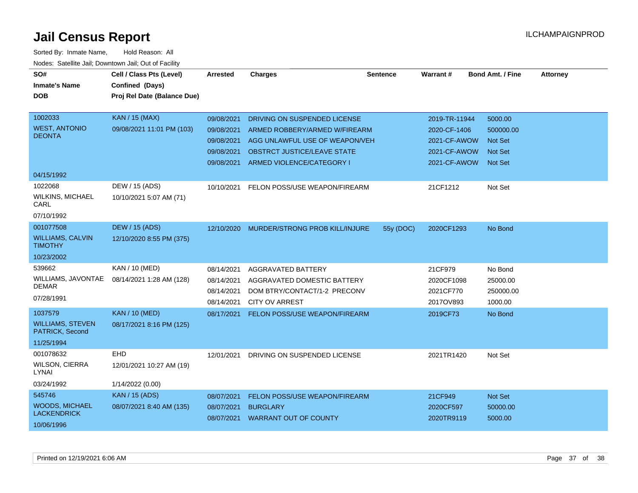| SO#<br><b>Inmate's Name</b><br>DOB         | Cell / Class Pts (Level)<br>Confined (Days)<br>Proj Rel Date (Balance Due) | Arrested   | <b>Charges</b>                     | <b>Sentence</b> | Warrant#      | <b>Bond Amt. / Fine</b> | <b>Attorney</b> |
|--------------------------------------------|----------------------------------------------------------------------------|------------|------------------------------------|-----------------|---------------|-------------------------|-----------------|
|                                            |                                                                            |            |                                    |                 |               |                         |                 |
| 1002033                                    | <b>KAN / 15 (MAX)</b>                                                      | 09/08/2021 | DRIVING ON SUSPENDED LICENSE       |                 | 2019-TR-11944 | 5000.00                 |                 |
| <b>WEST, ANTONIO</b>                       | 09/08/2021 11:01 PM (103)                                                  | 09/08/2021 | ARMED ROBBERY/ARMED W/FIREARM      |                 | 2020-CF-1406  | 500000.00               |                 |
| <b>DEONTA</b>                              |                                                                            | 09/08/2021 | AGG UNLAWFUL USE OF WEAPON/VEH     |                 | 2021-CF-AWOW  | <b>Not Set</b>          |                 |
|                                            |                                                                            | 09/08/2021 | <b>OBSTRCT JUSTICE/LEAVE STATE</b> |                 | 2021-CF-AWOW  | <b>Not Set</b>          |                 |
|                                            |                                                                            | 09/08/2021 | ARMED VIOLENCE/CATEGORY I          |                 | 2021-CF-AWOW  | <b>Not Set</b>          |                 |
| 04/15/1992                                 |                                                                            |            |                                    |                 |               |                         |                 |
| 1022068                                    | DEW / 15 (ADS)                                                             | 10/10/2021 | FELON POSS/USE WEAPON/FIREARM      |                 | 21CF1212      | Not Set                 |                 |
| <b>WILKINS, MICHAEL</b><br>CARL            | 10/10/2021 5:07 AM (71)                                                    |            |                                    |                 |               |                         |                 |
| 07/10/1992                                 |                                                                            |            |                                    |                 |               |                         |                 |
| 001077508                                  | <b>DEW / 15 (ADS)</b>                                                      | 12/10/2020 | MURDER/STRONG PROB KILL/INJURE     | 55y (DOC)       | 2020CF1293    | No Bond                 |                 |
| <b>WILLIAMS, CALVIN</b><br><b>TIMOTHY</b>  | 12/10/2020 8:55 PM (375)                                                   |            |                                    |                 |               |                         |                 |
| 10/23/2002                                 |                                                                            |            |                                    |                 |               |                         |                 |
| 539662                                     | KAN / 10 (MED)                                                             | 08/14/2021 | <b>AGGRAVATED BATTERY</b>          |                 | 21CF979       | No Bond                 |                 |
| WILLIAMS, JAVONTAE                         | 08/14/2021 1:28 AM (128)                                                   | 08/14/2021 | AGGRAVATED DOMESTIC BATTERY        |                 | 2020CF1098    | 25000.00                |                 |
| <b>DEMAR</b>                               |                                                                            | 08/14/2021 | DOM BTRY/CONTACT/1-2 PRECONV       |                 | 2021CF770     | 250000.00               |                 |
| 07/28/1991                                 |                                                                            | 08/14/2021 | <b>CITY OV ARREST</b>              |                 | 2017OV893     | 1000.00                 |                 |
| 1037579                                    | <b>KAN / 10 (MED)</b>                                                      | 08/17/2021 | FELON POSS/USE WEAPON/FIREARM      |                 | 2019CF73      | No Bond                 |                 |
| <b>WILLIAMS, STEVEN</b><br>PATRICK, Second | 08/17/2021 8:16 PM (125)                                                   |            |                                    |                 |               |                         |                 |
| 11/25/1994                                 |                                                                            |            |                                    |                 |               |                         |                 |
| 001078632                                  | EHD                                                                        | 12/01/2021 | DRIVING ON SUSPENDED LICENSE       |                 | 2021TR1420    | Not Set                 |                 |
| WILSON, CIERRA<br>LYNAI                    | 12/01/2021 10:27 AM (19)                                                   |            |                                    |                 |               |                         |                 |
| 03/24/1992                                 | 1/14/2022 (0.00)                                                           |            |                                    |                 |               |                         |                 |
| 545746                                     | <b>KAN / 15 (ADS)</b>                                                      | 08/07/2021 | FELON POSS/USE WEAPON/FIREARM      |                 | 21CF949       | Not Set                 |                 |
| <b>WOODS, MICHAEL</b>                      | 08/07/2021 8:40 AM (135)                                                   | 08/07/2021 | <b>BURGLARY</b>                    |                 | 2020CF597     | 50000.00                |                 |
| <b>LACKENDRICK</b><br>10/06/1996           |                                                                            | 08/07/2021 | <b>WARRANT OUT OF COUNTY</b>       |                 | 2020TR9119    | 5000.00                 |                 |
|                                            |                                                                            |            |                                    |                 |               |                         |                 |